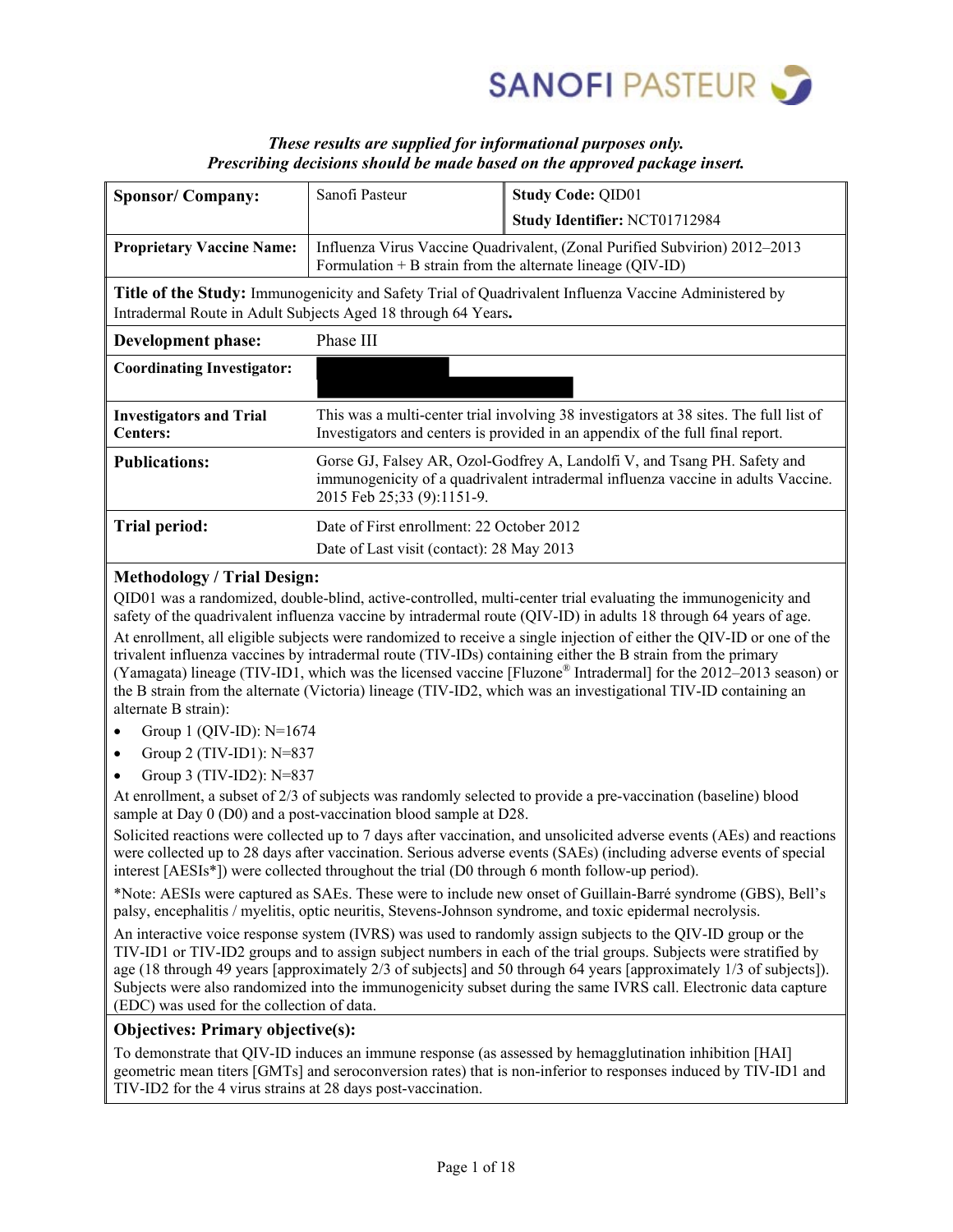

# *These results are supplied for informational purposes only. Prescribing decisions should be made based on the approved package insert.*

| <b>Sponsor/Company:</b>                                                                                                                                                | Sanofi Pasteur                                                                                                                                                                               | <b>Study Code: QID01</b>                                                                                                                                                 |  |  |  |  |  |
|------------------------------------------------------------------------------------------------------------------------------------------------------------------------|----------------------------------------------------------------------------------------------------------------------------------------------------------------------------------------------|--------------------------------------------------------------------------------------------------------------------------------------------------------------------------|--|--|--|--|--|
|                                                                                                                                                                        |                                                                                                                                                                                              | Study Identifier: NCT01712984                                                                                                                                            |  |  |  |  |  |
| <b>Proprietary Vaccine Name:</b>                                                                                                                                       | Formulation $+ B$ strain from the alternate lineage (QIV-ID)                                                                                                                                 | Influenza Virus Vaccine Quadrivalent, (Zonal Purified Subvirion) 2012–2013                                                                                               |  |  |  |  |  |
| Title of the Study: Immunogenicity and Safety Trial of Quadrivalent Influenza Vaccine Administered by<br>Intradermal Route in Adult Subjects Aged 18 through 64 Years. |                                                                                                                                                                                              |                                                                                                                                                                          |  |  |  |  |  |
| Development phase:                                                                                                                                                     | Phase III                                                                                                                                                                                    |                                                                                                                                                                          |  |  |  |  |  |
| <b>Coordinating Investigator:</b>                                                                                                                                      |                                                                                                                                                                                              |                                                                                                                                                                          |  |  |  |  |  |
| <b>Investigators and Trial</b><br><b>Centers:</b>                                                                                                                      |                                                                                                                                                                                              | This was a multi-center trial involving 38 investigators at 38 sites. The full list of<br>Investigators and centers is provided in an appendix of the full final report. |  |  |  |  |  |
| <b>Publications:</b>                                                                                                                                                   | Gorse GJ, Falsey AR, Ozol-Godfrey A, Landolfi V, and Tsang PH. Safety and<br>immunogenicity of a quadrivalent intradermal influenza vaccine in adults Vaccine.<br>2015 Feb 25;33 (9):1151-9. |                                                                                                                                                                          |  |  |  |  |  |
| Trial period:                                                                                                                                                          | Date of First enrollment: 22 October 2012                                                                                                                                                    |                                                                                                                                                                          |  |  |  |  |  |
|                                                                                                                                                                        | Date of Last visit (contact): 28 May 2013                                                                                                                                                    |                                                                                                                                                                          |  |  |  |  |  |

# **Methodology / Trial Design:**

QID01 was a randomized, double-blind, active-controlled, multi-center trial evaluating the immunogenicity and safety of the quadrivalent influenza vaccine by intradermal route (QIV-ID) in adults 18 through 64 years of age. At enrollment, all eligible subjects were randomized to receive a single injection of either the QIV-ID or one of the trivalent influenza vaccines by intradermal route (TIV-IDs) containing either the B strain from the primary (Yamagata) lineage (TIV-ID1, which was the licensed vaccine [Fluzone® Intradermal] for the 2012–2013 season) or the B strain from the alternate (Victoria) lineage (TIV-ID2, which was an investigational TIV-ID containing an alternate B strain):

- Group 1 (QIV-ID): N=1674
- Group 2 (TIV-ID1): N=837
- Group 3 (TIV-ID2): N=837

At enrollment, a subset of 2/3 of subjects was randomly selected to provide a pre-vaccination (baseline) blood sample at Day 0 (D0) and a post-vaccination blood sample at D28.

Solicited reactions were collected up to 7 days after vaccination, and unsolicited adverse events (AEs) and reactions were collected up to 28 days after vaccination. Serious adverse events (SAEs) (including adverse events of special interest [AESIs\*]) were collected throughout the trial (D0 through 6 month follow-up period).

\*Note: AESIs were captured as SAEs. These were to include new onset of Guillain-Barré syndrome (GBS), Bell's palsy, encephalitis / myelitis, optic neuritis, Stevens-Johnson syndrome, and toxic epidermal necrolysis.

An interactive voice response system (IVRS) was used to randomly assign subjects to the QIV-ID group or the TIV-ID1 or TIV-ID2 groups and to assign subject numbers in each of the trial groups. Subjects were stratified by age (18 through 49 years [approximately 2/3 of subjects] and 50 through 64 years [approximately 1/3 of subjects]). Subjects were also randomized into the immunogenicity subset during the same IVRS call. Electronic data capture (EDC) was used for the collection of data.

# **Objectives: Primary objective(s):**

To demonstrate that QIV-ID induces an immune response (as assessed by hemagglutination inhibition [HAI] geometric mean titers [GMTs] and seroconversion rates) that is non-inferior to responses induced by TIV-ID1 and TIV-ID2 for the 4 virus strains at 28 days post-vaccination.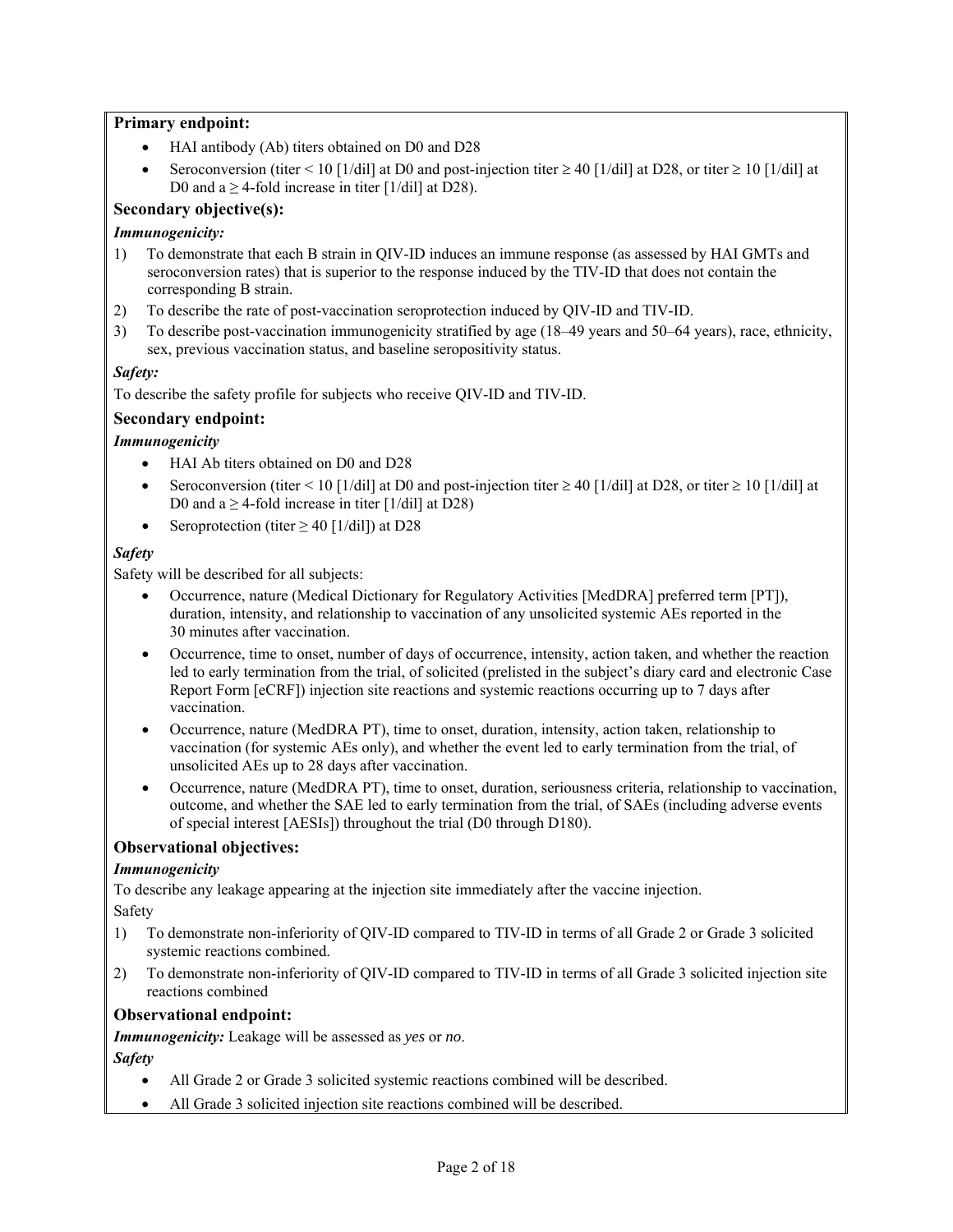# **Primary endpoint:**

- HAI antibody (Ab) titers obtained on D0 and D28
- Seroconversion (titer < 10 [1/dil] at D0 and post-injection titer  $\geq$  40 [1/dil] at D28, or titer  $\geq$  10 [1/dil] at D0 and  $a \ge 4$ -fold increase in titer [1/dil] at D28).

# **Secondary objective(s):**

### *Immunogenicity:*

- 1) To demonstrate that each B strain in QIV-ID induces an immune response (as assessed by HAI GMTs and seroconversion rates) that is superior to the response induced by the TIV-ID that does not contain the corresponding B strain.
- 2) To describe the rate of post-vaccination seroprotection induced by QIV-ID and TIV-ID.
- 3) To describe post-vaccination immunogenicity stratified by age (18–49 years and 50–64 years), race, ethnicity, sex, previous vaccination status, and baseline seropositivity status.

### *Safety:*

To describe the safety profile for subjects who receive QIV-ID and TIV-ID.

### **Secondary endpoint:**

#### *Immunogenicity*

- HAI Ab titers obtained on D0 and D28
- Seroconversion (titer < 10 [1/dil] at D0 and post-injection titer  $\geq$  40 [1/dil] at D28, or titer  $\geq$  10 [1/dil] at D0 and a  $\geq$  4-fold increase in titer [1/dil] at D28)
- Seroprotection (titer  $\geq$  40 [1/dil]) at D28

### *Safety*

Safety will be described for all subjects:

- Occurrence, nature (Medical Dictionary for Regulatory Activities [MedDRA] preferred term [PT]), duration, intensity, and relationship to vaccination of any unsolicited systemic AEs reported in the 30 minutes after vaccination.
- Occurrence, time to onset, number of days of occurrence, intensity, action taken, and whether the reaction led to early termination from the trial, of solicited (prelisted in the subject's diary card and electronic Case Report Form [eCRF]) injection site reactions and systemic reactions occurring up to 7 days after vaccination.
- Occurrence, nature (MedDRA PT), time to onset, duration, intensity, action taken, relationship to vaccination (for systemic AEs only), and whether the event led to early termination from the trial, of unsolicited AEs up to 28 days after vaccination.
- Occurrence, nature (MedDRA PT), time to onset, duration, seriousness criteria, relationship to vaccination, outcome, and whether the SAE led to early termination from the trial, of SAEs (including adverse events of special interest [AESIs]) throughout the trial (D0 through D180).

# **Observational objectives:**

#### *Immunogenicity*

To describe any leakage appearing at the injection site immediately after the vaccine injection. Safety

- 1) To demonstrate non-inferiority of QIV-ID compared to TIV-ID in terms of all Grade 2 or Grade 3 solicited systemic reactions combined.
- 2) To demonstrate non-inferiority of QIV-ID compared to TIV-ID in terms of all Grade 3 solicited injection site reactions combined

#### **Observational endpoint:**

*Immunogenicity:* Leakage will be assessed as *yes* or *no*.

*Safety* 

- All Grade 2 or Grade 3 solicited systemic reactions combined will be described.
- All Grade 3 solicited injection site reactions combined will be described.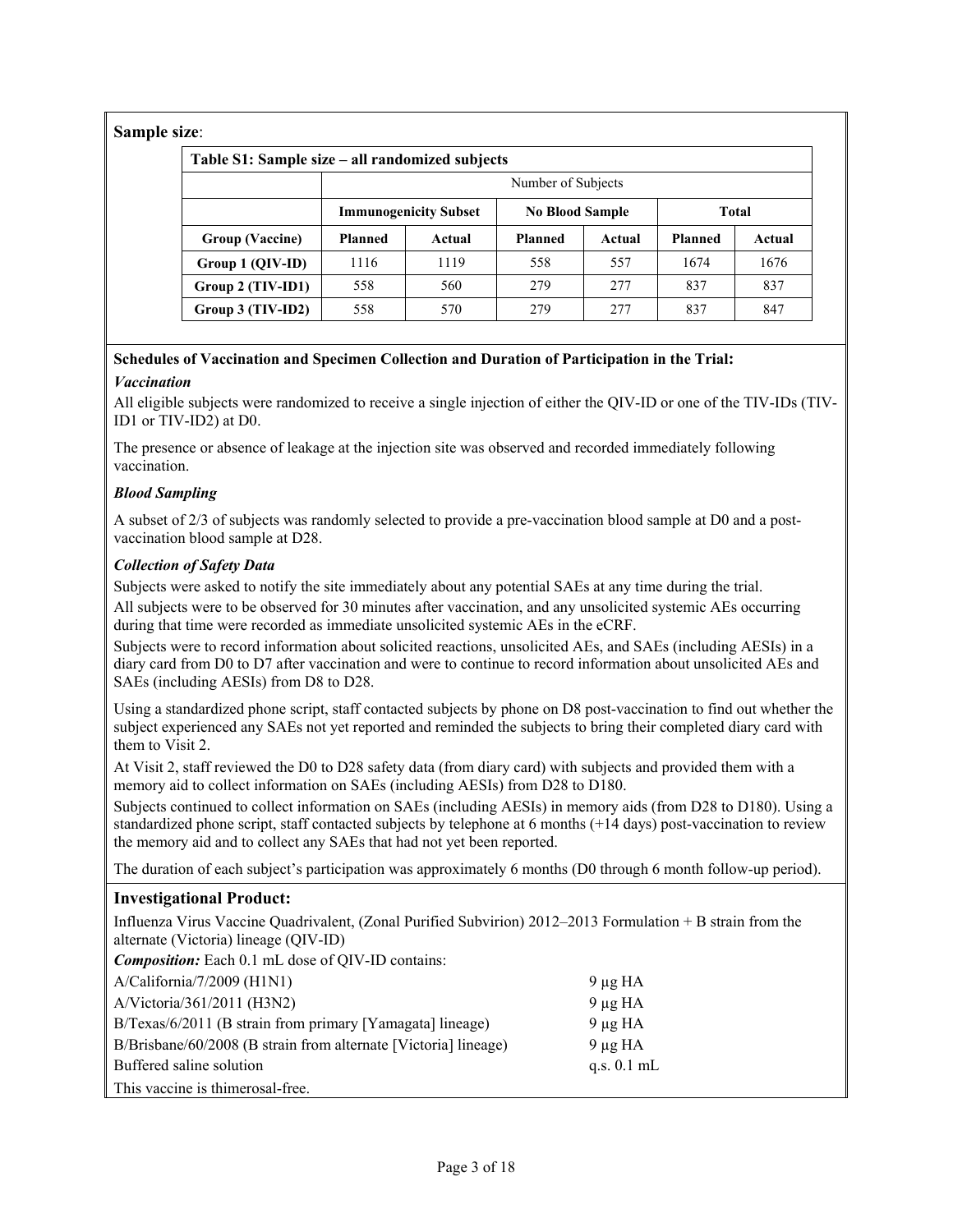# **Sample size**:

| <u>sizw.</u>                                    |                |                              |                                        |        |                |        |  |  |  |  |  |  |
|-------------------------------------------------|----------------|------------------------------|----------------------------------------|--------|----------------|--------|--|--|--|--|--|--|
| Table S1: Sample size – all randomized subjects |                |                              |                                        |        |                |        |  |  |  |  |  |  |
|                                                 |                | Number of Subjects           |                                        |        |                |        |  |  |  |  |  |  |
|                                                 |                | <b>Immunogenicity Subset</b> | <b>No Blood Sample</b><br><b>Total</b> |        |                |        |  |  |  |  |  |  |
| Group (Vaccine)                                 | <b>Planned</b> | Actual                       | <b>Planned</b>                         | Actual | <b>Planned</b> | Actual |  |  |  |  |  |  |
| Group 1 (QIV-ID)                                | 1116           | 1119                         | 558                                    | 557    | 1674           | 1676   |  |  |  |  |  |  |
| Group 2 (TIV-ID1)                               | 558            | 560                          | 279                                    | 2.77   | 837            | 837    |  |  |  |  |  |  |
| $Group 3 (TIV-ID2)$                             | 558            | 570                          | 279                                    | 2.77   | 837            | 847    |  |  |  |  |  |  |

# **Schedules of Vaccination and Specimen Collection and Duration of Participation in the Trial:**

# *Vaccination*

All eligible subjects were randomized to receive a single injection of either the QIV-ID or one of the TIV-IDs (TIV-ID1 or TIV-ID2) at D0.

The presence or absence of leakage at the injection site was observed and recorded immediately following vaccination.

# *Blood Sampling*

A subset of 2/3 of subjects was randomly selected to provide a pre-vaccination blood sample at D0 and a postvaccination blood sample at D28.

# *Collection of Safety Data*

Subjects were asked to notify the site immediately about any potential SAEs at any time during the trial. All subjects were to be observed for 30 minutes after vaccination, and any unsolicited systemic AEs occurring during that time were recorded as immediate unsolicited systemic AEs in the eCRF.

Subjects were to record information about solicited reactions, unsolicited AEs, and SAEs (including AESIs) in a diary card from D0 to D7 after vaccination and were to continue to record information about unsolicited AEs and SAEs (including AESIs) from D8 to D28.

Using a standardized phone script, staff contacted subjects by phone on D8 post-vaccination to find out whether the subject experienced any SAEs not yet reported and reminded the subjects to bring their completed diary card with them to Visit 2.

At Visit 2, staff reviewed the D0 to D28 safety data (from diary card) with subjects and provided them with a memory aid to collect information on SAEs (including AESIs) from D28 to D180.

Subjects continued to collect information on SAEs (including AESIs) in memory aids (from D28 to D180). Using a standardized phone script, staff contacted subjects by telephone at 6 months (+14 days) post-vaccination to review the memory aid and to collect any SAEs that had not yet been reported.

The duration of each subject's participation was approximately 6 months (D0 through 6 month follow-up period).

# **Investigational Product:**

Influenza Virus Vaccine Quadrivalent, (Zonal Purified Subvirion) 2012–2013 Formulation + B strain from the alternate (Victoria) lineage (QIV-ID)

*Composition:* Each 0.1 mL dose of OIV-ID contains:

| $A/California/7/2009$ (H1N1)                                    | $9 \mu g H A$ |
|-----------------------------------------------------------------|---------------|
| A/Victoria/361/2011 (H3N2)                                      | $9 \mu g H A$ |
| B/Texas/6/2011 (B strain from primary [Yamagata] lineage)       | $9 \mu g H A$ |
| B/Brisbane/60/2008 (B strain from alternate [Victoria] lineage) | $9 \mu g H A$ |
| Buffered saline solution                                        | q.s. $0.1$ mL |
| This vaccine is thimerosal-free.                                |               |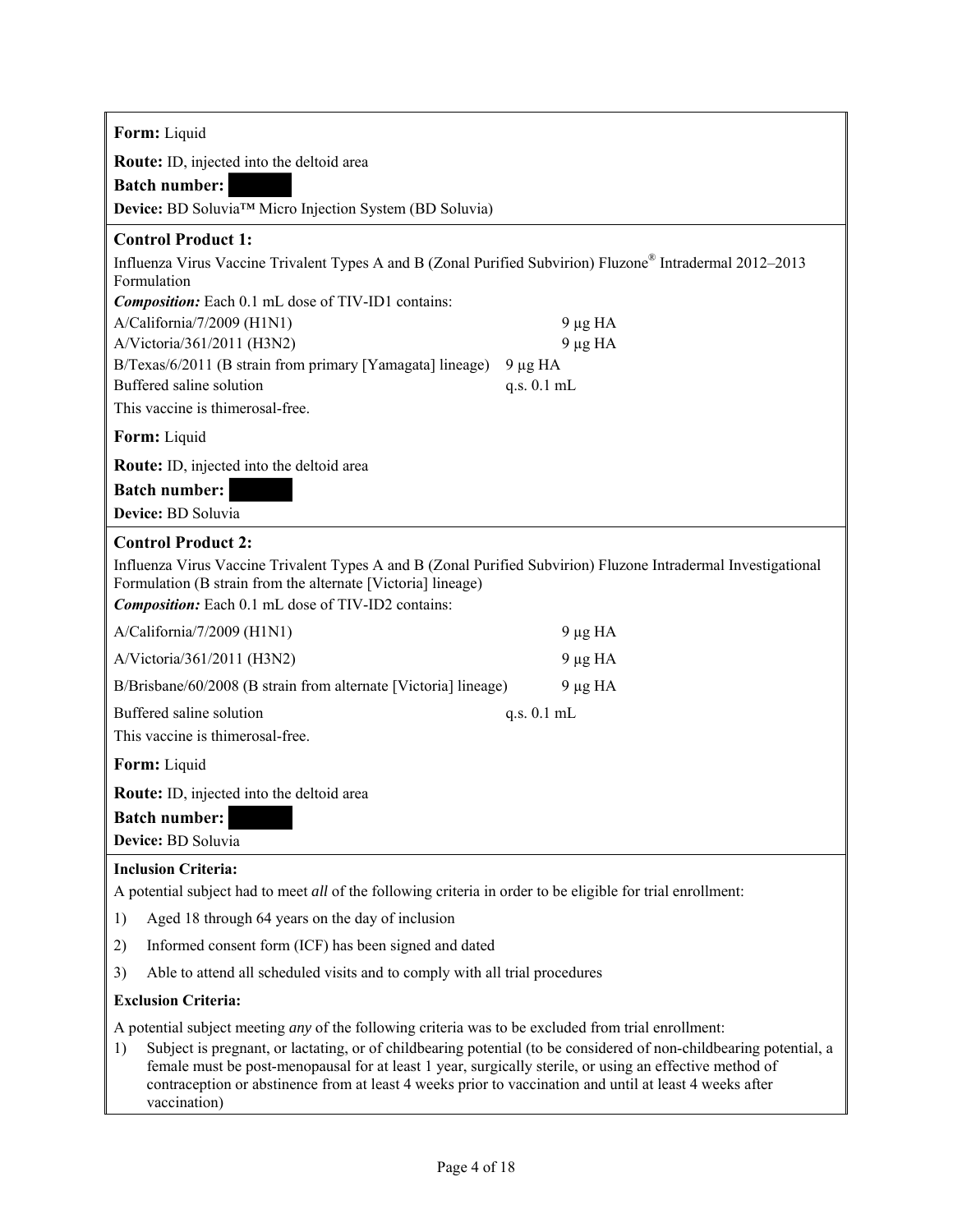| Form: Liquid                                                                                                                                                                                                                                                                                                                                                                                                                                                                 |  |  |  |  |  |  |  |  |  |  |
|------------------------------------------------------------------------------------------------------------------------------------------------------------------------------------------------------------------------------------------------------------------------------------------------------------------------------------------------------------------------------------------------------------------------------------------------------------------------------|--|--|--|--|--|--|--|--|--|--|
| Route: ID, injected into the deltoid area                                                                                                                                                                                                                                                                                                                                                                                                                                    |  |  |  |  |  |  |  |  |  |  |
| <b>Batch number:</b>                                                                                                                                                                                                                                                                                                                                                                                                                                                         |  |  |  |  |  |  |  |  |  |  |
| Device: BD Soluvia™ Micro Injection System (BD Soluvia)                                                                                                                                                                                                                                                                                                                                                                                                                      |  |  |  |  |  |  |  |  |  |  |
| <b>Control Product 1:</b>                                                                                                                                                                                                                                                                                                                                                                                                                                                    |  |  |  |  |  |  |  |  |  |  |
| Influenza Virus Vaccine Trivalent Types A and B (Zonal Purified Subvirion) Fluzone® Intradermal 2012-2013<br>Formulation<br><b>Composition:</b> Each 0.1 mL dose of TIV-ID1 contains:                                                                                                                                                                                                                                                                                        |  |  |  |  |  |  |  |  |  |  |
| A/California/7/2009 (H1N1)<br>$9 \mu g H A$                                                                                                                                                                                                                                                                                                                                                                                                                                  |  |  |  |  |  |  |  |  |  |  |
| A/Victoria/361/2011 (H3N2)<br>$9 \mu g H A$<br>B/Texas/6/2011 (B strain from primary [Yamagata] lineage)<br>$9 \mu g H A$                                                                                                                                                                                                                                                                                                                                                    |  |  |  |  |  |  |  |  |  |  |
| Buffered saline solution<br>q.s. 0.1 mL                                                                                                                                                                                                                                                                                                                                                                                                                                      |  |  |  |  |  |  |  |  |  |  |
| This vaccine is thimerosal-free.                                                                                                                                                                                                                                                                                                                                                                                                                                             |  |  |  |  |  |  |  |  |  |  |
| Form: Liquid                                                                                                                                                                                                                                                                                                                                                                                                                                                                 |  |  |  |  |  |  |  |  |  |  |
| Route: ID, injected into the deltoid area                                                                                                                                                                                                                                                                                                                                                                                                                                    |  |  |  |  |  |  |  |  |  |  |
| <b>Batch number:</b>                                                                                                                                                                                                                                                                                                                                                                                                                                                         |  |  |  |  |  |  |  |  |  |  |
| Device: BD Soluvia                                                                                                                                                                                                                                                                                                                                                                                                                                                           |  |  |  |  |  |  |  |  |  |  |
| <b>Control Product 2:</b>                                                                                                                                                                                                                                                                                                                                                                                                                                                    |  |  |  |  |  |  |  |  |  |  |
| Influenza Virus Vaccine Trivalent Types A and B (Zonal Purified Subvirion) Fluzone Intradermal Investigational<br>Formulation (B strain from the alternate [Victoria] lineage)<br><b>Composition:</b> Each 0.1 mL dose of TIV-ID2 contains:                                                                                                                                                                                                                                  |  |  |  |  |  |  |  |  |  |  |
| A/California/7/2009 (H1N1)<br>$9 \mu g H A$                                                                                                                                                                                                                                                                                                                                                                                                                                  |  |  |  |  |  |  |  |  |  |  |
| A/Victoria/361/2011 (H3N2)<br>$9 \mu g H A$                                                                                                                                                                                                                                                                                                                                                                                                                                  |  |  |  |  |  |  |  |  |  |  |
| B/Brisbane/60/2008 (B strain from alternate [Victoria] lineage)<br>$9 \mu g H A$                                                                                                                                                                                                                                                                                                                                                                                             |  |  |  |  |  |  |  |  |  |  |
| Buffered saline solution<br>q.s. 0.1 mL                                                                                                                                                                                                                                                                                                                                                                                                                                      |  |  |  |  |  |  |  |  |  |  |
| This vaccine is thimerosal-free.                                                                                                                                                                                                                                                                                                                                                                                                                                             |  |  |  |  |  |  |  |  |  |  |
| Form: Liquid                                                                                                                                                                                                                                                                                                                                                                                                                                                                 |  |  |  |  |  |  |  |  |  |  |
| Route: ID, injected into the deltoid area                                                                                                                                                                                                                                                                                                                                                                                                                                    |  |  |  |  |  |  |  |  |  |  |
| <b>Batch number:</b>                                                                                                                                                                                                                                                                                                                                                                                                                                                         |  |  |  |  |  |  |  |  |  |  |
| Device: BD Soluvia                                                                                                                                                                                                                                                                                                                                                                                                                                                           |  |  |  |  |  |  |  |  |  |  |
| <b>Inclusion Criteria:</b><br>A potential subject had to meet all of the following criteria in order to be eligible for trial enrollment:                                                                                                                                                                                                                                                                                                                                    |  |  |  |  |  |  |  |  |  |  |
| Aged 18 through 64 years on the day of inclusion<br>1)                                                                                                                                                                                                                                                                                                                                                                                                                       |  |  |  |  |  |  |  |  |  |  |
| 2)<br>Informed consent form (ICF) has been signed and dated                                                                                                                                                                                                                                                                                                                                                                                                                  |  |  |  |  |  |  |  |  |  |  |
| 3)<br>Able to attend all scheduled visits and to comply with all trial procedures                                                                                                                                                                                                                                                                                                                                                                                            |  |  |  |  |  |  |  |  |  |  |
| <b>Exclusion Criteria:</b>                                                                                                                                                                                                                                                                                                                                                                                                                                                   |  |  |  |  |  |  |  |  |  |  |
| A potential subject meeting <i>any</i> of the following criteria was to be excluded from trial enrollment:<br>Subject is pregnant, or lactating, or of childbearing potential (to be considered of non-childbearing potential, a<br>1)<br>female must be post-menopausal for at least 1 year, surgically sterile, or using an effective method of<br>contraception or abstinence from at least 4 weeks prior to vaccination and until at least 4 weeks after<br>vaccination) |  |  |  |  |  |  |  |  |  |  |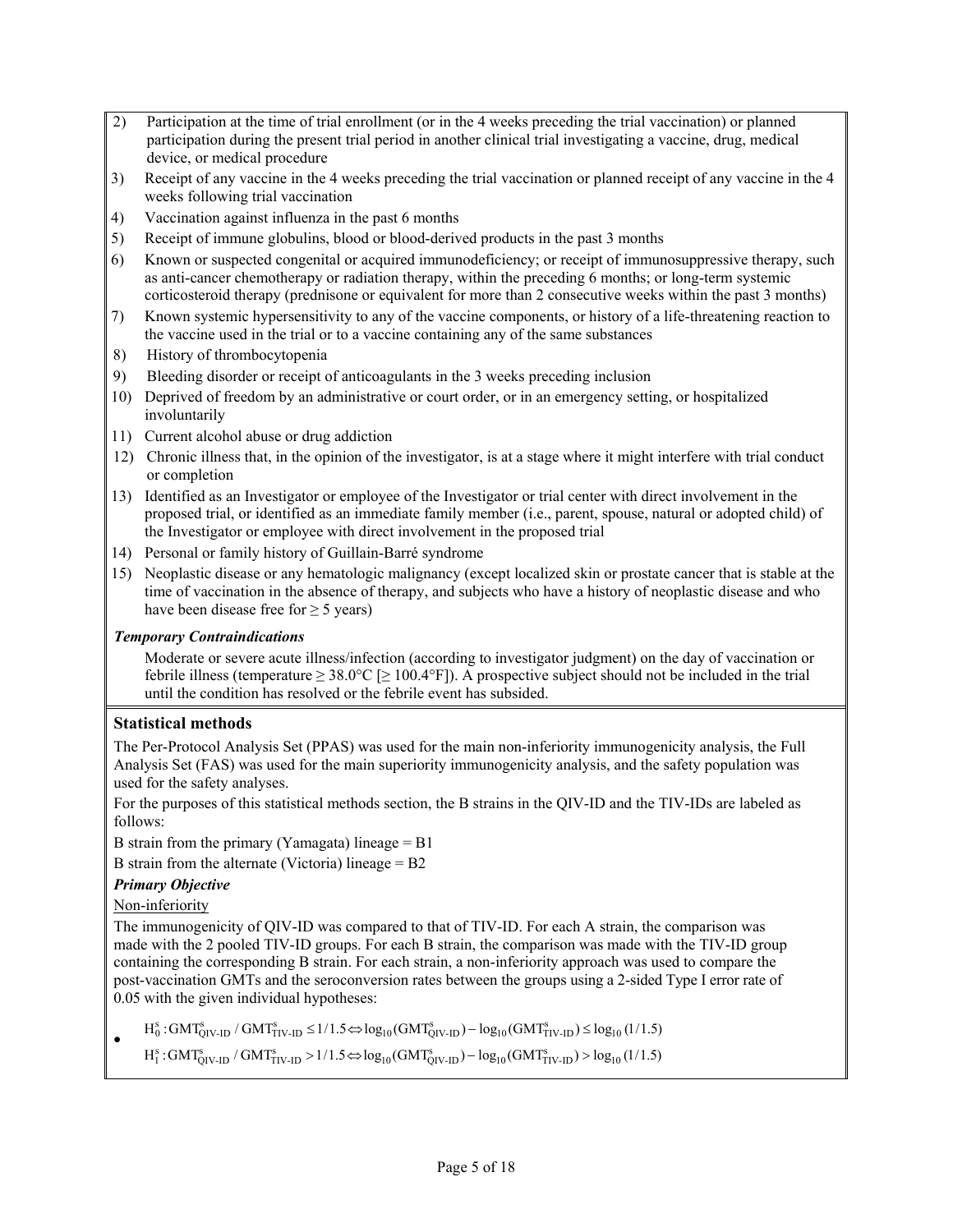- 2) Participation at the time of trial enrollment (or in the 4 weeks preceding the trial vaccination) or planned participation during the present trial period in another clinical trial investigating a vaccine, drug, medical device, or medical procedure
- 3) Receipt of any vaccine in the 4 weeks preceding the trial vaccination or planned receipt of any vaccine in the 4 weeks following trial vaccination
- 4) Vaccination against influenza in the past 6 months
- 5) Receipt of immune globulins, blood or blood-derived products in the past 3 months
- 6) Known or suspected congenital or acquired immunodeficiency; or receipt of immunosuppressive therapy, such as anti-cancer chemotherapy or radiation therapy, within the preceding 6 months; or long-term systemic corticosteroid therapy (prednisone or equivalent for more than 2 consecutive weeks within the past 3 months)
- 7) Known systemic hypersensitivity to any of the vaccine components, or history of a life-threatening reaction to the vaccine used in the trial or to a vaccine containing any of the same substances
- 8) History of thrombocytopenia
- 9) Bleeding disorder or receipt of anticoagulants in the 3 weeks preceding inclusion
- 10) Deprived of freedom by an administrative or court order, or in an emergency setting, or hospitalized involuntarily
- 11) Current alcohol abuse or drug addiction
- 12) Chronic illness that, in the opinion of the investigator, is at a stage where it might interfere with trial conduct or completion
- 13) Identified as an Investigator or employee of the Investigator or trial center with direct involvement in the proposed trial, or identified as an immediate family member (i.e., parent, spouse, natural or adopted child) of the Investigator or employee with direct involvement in the proposed trial
- 14) Personal or family history of Guillain-Barré syndrome
- 15) Neoplastic disease or any hematologic malignancy (except localized skin or prostate cancer that is stable at the time of vaccination in the absence of therapy, and subjects who have a history of neoplastic disease and who have been disease free for  $\geq 5$  years)

# *Temporary Contraindications*

Moderate or severe acute illness/infection (according to investigator judgment) on the day of vaccination or febrile illness (temperature  $\geq 38.0^{\circ}\text{C}$  [ $\geq 100.4^{\circ}\text{F}$ ]). A prospective subject should not be included in the trial until the condition has resolved or the febrile event has subsided.

# **Statistical methods**

The Per-Protocol Analysis Set (PPAS) was used for the main non-inferiority immunogenicity analysis, the Full Analysis Set (FAS) was used for the main superiority immunogenicity analysis, and the safety population was used for the safety analyses.

For the purposes of this statistical methods section, the B strains in the QIV-ID and the TIV-IDs are labeled as follows:

B strain from the primary (Yamagata) lineage  $=$  B1

B strain from the alternate (Victoria) lineage = B2

# *Primary Objective*

# Non-inferiority

The immunogenicity of QIV-ID was compared to that of TIV-ID. For each A strain, the comparison was made with the 2 pooled TIV-ID groups. For each B strain, the comparison was made with the TIV-ID group containing the corresponding B strain. For each strain, a non-inferiority approach was used to compare the post-vaccination GMTs and the seroconversion rates between the groups using a 2-sided Type I error rate of 0.05 with the given individual hypotheses:

 $\bullet$  $H_0^s$ : GMT $_{QIV-ID}^s$  / GMT $_{TIV-ID}^s$   $\leq 1/1.5 \Leftrightarrow \log_{10} (GMT_{QIV-ID}^s) - \log_{10} (GMT_{TIV-ID}^s) \leq \log_{10} (1/1.5)$ 

 $H_1^s$ : GMT $_{QIV-ID}^s$  / GMT $_{TIV-ID}^s$  > 1/1.5 $\Leftrightarrow$  log<sub>10</sub>(GMT $_{QIV-ID}^s$ ) - log<sub>10</sub>(GMT $_{TIV-ID}^s$ ) > log<sub>10</sub>(1/1.5)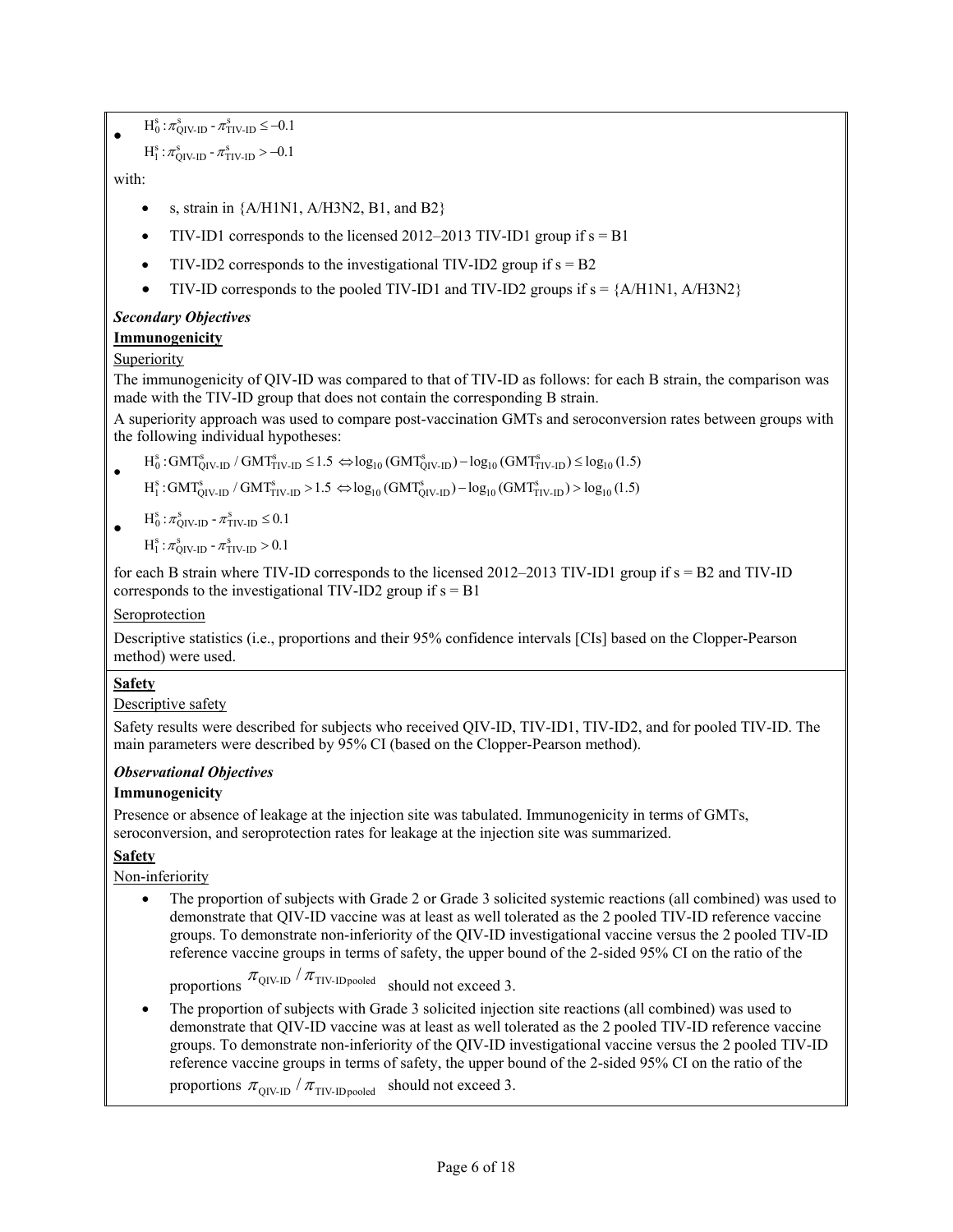$\bullet$  $H_0^s : \pi_{QIV-ID}^s - \pi_{TIV-ID}^s \le -0.1$ 

```
H_1^s: \pi_{\text{QIV-ID}}^s \text{-} \pi_{\text{TIV-ID}}^s > -0.1
```
with:

- s, strain in {A/H1N1, A/H3N2, B1, and B2}
- TIV-ID1 corresponds to the licensed  $2012-2013$  TIV-ID1 group if  $s = B1$
- TIV-ID2 corresponds to the investigational TIV-ID2 group if  $s = B2$
- $\bullet$  TIV-ID corresponds to the pooled TIV-ID1 and TIV-ID2 groups if  $s = \{A/H1N1, A/H3N2\}$

# *Secondary Objectives*

# **Immunogenicity**

# Superiority

The immunogenicity of QIV-ID was compared to that of TIV-ID as follows: for each B strain, the comparison was made with the TIV-ID group that does not contain the corresponding B strain.

A superiority approach was used to compare post-vaccination GMTs and seroconversion rates between groups with the following individual hypotheses:

 $\bullet$  $H_0^s$ : GMT $_{QIV-ID}^s$  / GMT $_{TIV-ID}^s \le 1.5 \Leftrightarrow \log_{10} (GMT_{QIV-ID}^s) - \log_{10} (GMT_{TIV-ID}^s) \le \log_{10} (1.5)$ 

 $H_1^s$ : GMT $_{\text{QIV-ID}}^s$  / GMT $_{\text{TIV-ID}}^s$  > 1.5  $\Leftrightarrow$   $\log_{10}(\text{GMT}_{\text{QIV-ID}}^s) - \log_{10}(\text{GMT}_{\text{TIV-ID}}^s)$  >  $\log_{10}(1.5)$ 

 $\bullet$  $H_0^s : \pi_{\text{QIV-ID}}^s - \pi_{\text{TIV-ID}}^s \leq 0.1$ 

$$
H_1^s: \pi_{QIV-ID}^s - \pi_{TIV-ID}^s > 0.1
$$

for each B strain where TIV-ID corresponds to the licensed 2012–2013 TIV-ID1 group if s = B2 and TIV-ID corresponds to the investigational TIV-ID2 group if  $s = B1$ 

# Seroprotection

Descriptive statistics (i.e., proportions and their 95% confidence intervals [CIs] based on the Clopper-Pearson method) were used.

# **Safety**

Descriptive safety

Safety results were described for subjects who received QIV-ID, TIV-ID1, TIV-ID2, and for pooled TIV-ID. The main parameters were described by 95% CI (based on the Clopper-Pearson method).

# *Observational Objectives*

# **Immunogenicity**

Presence or absence of leakage at the injection site was tabulated. Immunogenicity in terms of GMTs, seroconversion, and seroprotection rates for leakage at the injection site was summarized.

# **Safety**

Non-inferiority

 The proportion of subjects with Grade 2 or Grade 3 solicited systemic reactions (all combined) was used to demonstrate that QIV-ID vaccine was at least as well tolerated as the 2 pooled TIV-ID reference vaccine groups. To demonstrate non-inferiority of the QIV-ID investigational vaccine versus the 2 pooled TIV-ID reference vaccine groups in terms of safety, the upper bound of the 2-sided 95% CI on the ratio of the

proportions  $\pi_{\text{QIV-ID}}/\pi_{\text{TIV-IDpooled}}$  should not exceed 3.

 The proportion of subjects with Grade 3 solicited injection site reactions (all combined) was used to demonstrate that QIV-ID vaccine was at least as well tolerated as the 2 pooled TIV-ID reference vaccine groups. To demonstrate non-inferiority of the QIV-ID investigational vaccine versus the 2 pooled TIV-ID reference vaccine groups in terms of safety, the upper bound of the 2-sided 95% CI on the ratio of the

proportions  $\pi_{\text{QIV-ID}}/\pi_{\text{TIV-IDpooled}}$  should not exceed 3.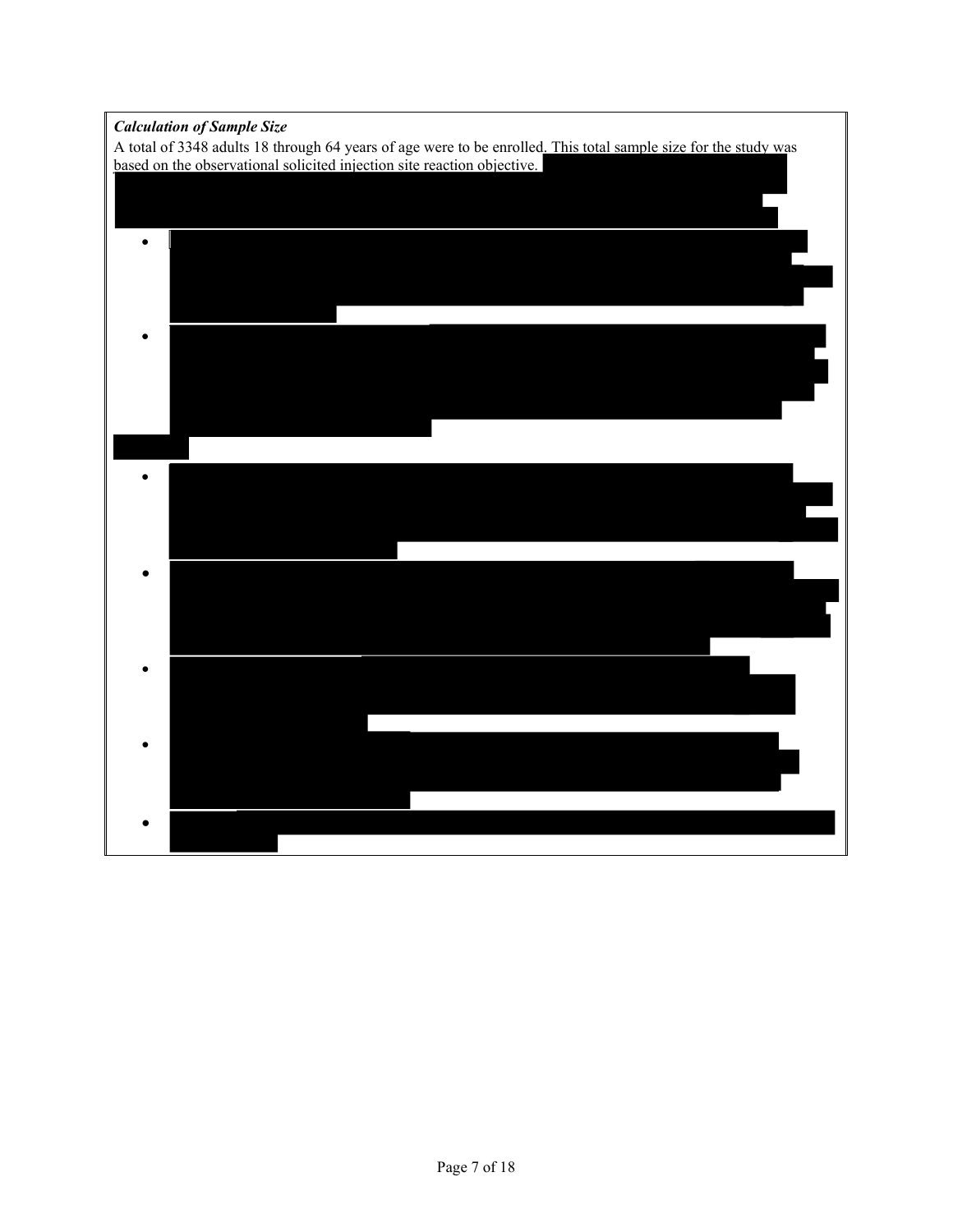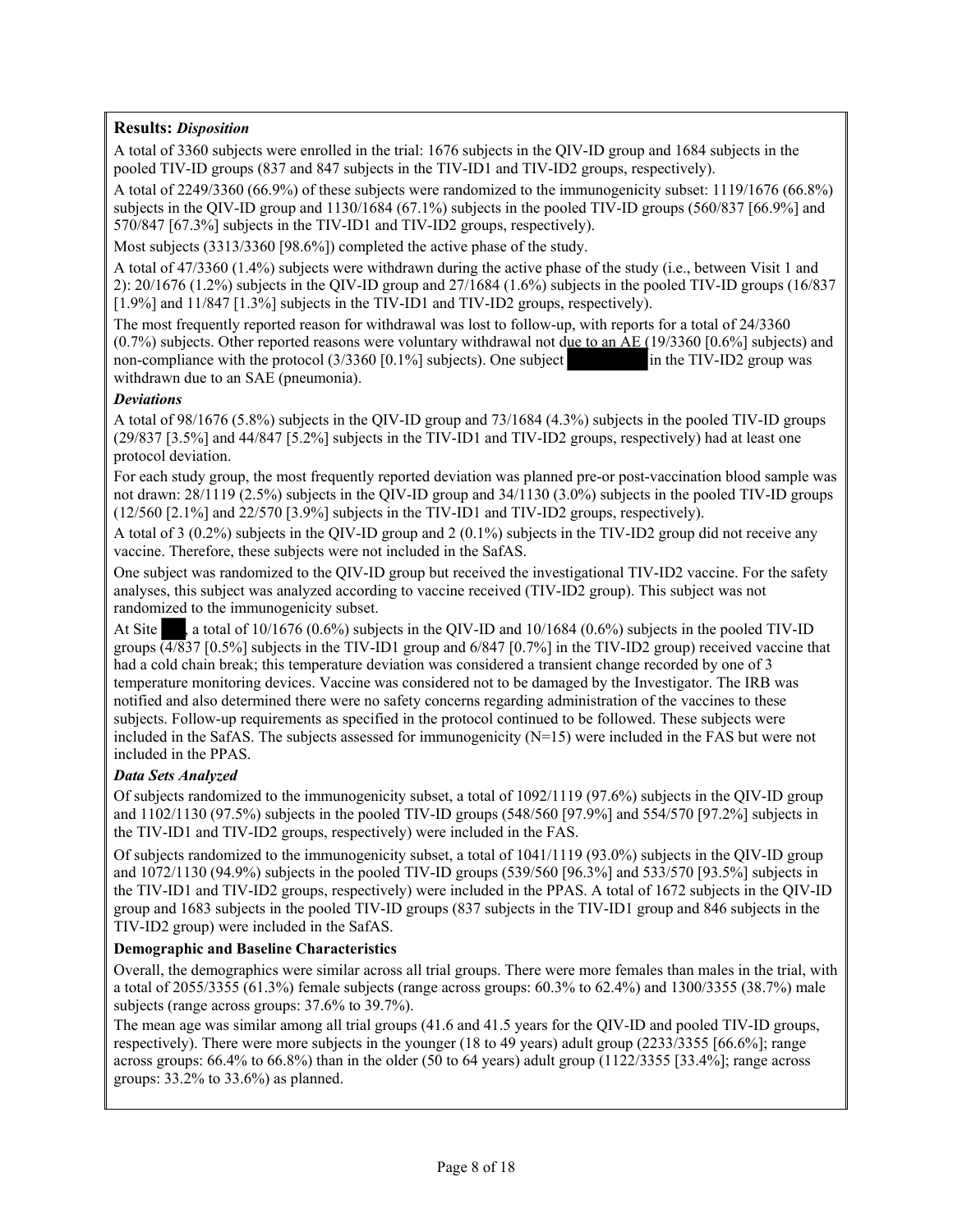# **Results:** *Disposition*

A total of 3360 subjects were enrolled in the trial: 1676 subjects in the QIV-ID group and 1684 subjects in the pooled TIV-ID groups (837 and 847 subjects in the TIV-ID1 and TIV-ID2 groups, respectively).

A total of 2249/3360 (66.9%) of these subjects were randomized to the immunogenicity subset: 1119/1676 (66.8%) subjects in the QIV-ID group and 1130/1684 (67.1%) subjects in the pooled TIV-ID groups (560/837 [66.9%] and 570/847 [67.3%] subjects in the TIV-ID1 and TIV-ID2 groups, respectively).

Most subjects (3313/3360 [98.6%]) completed the active phase of the study.

A total of 47/3360 (1.4%) subjects were withdrawn during the active phase of the study (i.e., between Visit 1 and 2): 20/1676 (1.2%) subjects in the QIV-ID group and 27/1684 (1.6%) subjects in the pooled TIV-ID groups (16/837 [1.9%] and 11/847 [1.3%] subjects in the TIV-ID1 and TIV-ID2 groups, respectively).

The most frequently reported reason for withdrawal was lost to follow-up, with reports for a total of 24/3360 (0.7%) subjects. Other reported reasons were voluntary withdrawal not due to an AE (19/3360 [0.6%] subjects) and non-compliance with the protocol (3/3360 [0.1%] subjects). One subject in the TIV-ID2 group was non-compliance with the protocol  $(3/3360 [0.1\%]$  subjects). One subject withdrawn due to an SAE (pneumonia).

### *Deviations*

A total of 98/1676 (5.8%) subjects in the QIV-ID group and 73/1684 (4.3%) subjects in the pooled TIV-ID groups (29/837 [3.5%] and 44/847 [5.2%] subjects in the TIV-ID1 and TIV-ID2 groups, respectively) had at least one protocol deviation.

For each study group, the most frequently reported deviation was planned pre-or post-vaccination blood sample was not drawn: 28/1119 (2.5%) subjects in the QIV-ID group and 34/1130 (3.0%) subjects in the pooled TIV-ID groups (12/560 [2.1%] and 22/570 [3.9%] subjects in the TIV-ID1 and TIV-ID2 groups, respectively).

A total of 3 (0.2%) subjects in the QIV-ID group and 2 (0.1%) subjects in the TIV-ID2 group did not receive any vaccine. Therefore, these subjects were not included in the SafAS.

One subject was randomized to the QIV-ID group but received the investigational TIV-ID2 vaccine. For the safety analyses, this subject was analyzed according to vaccine received (TIV-ID2 group). This subject was not randomized to the immunogenicity subset.

At Site a total of  $10/1676$  (0.6%) subjects in the QIV-ID and  $10/1684$  (0.6%) subjects in the pooled TIV-ID groups  $\left(4\sqrt{837} \right)$  [0.5%] subjects in the TIV-ID1 group and 6/847 [0.7%] in the TIV-ID2 group) received vaccine that had a cold chain break; this temperature deviation was considered a transient change recorded by one of 3 temperature monitoring devices. Vaccine was considered not to be damaged by the Investigator. The IRB was notified and also determined there were no safety concerns regarding administration of the vaccines to these subjects. Follow-up requirements as specified in the protocol continued to be followed. These subjects were included in the SafAS. The subjects assessed for immunogenicity (N=15) were included in the FAS but were not included in the PPAS.

# *Data Sets Analyzed*

Of subjects randomized to the immunogenicity subset, a total of 1092/1119 (97.6%) subjects in the QIV-ID group and 1102/1130 (97.5%) subjects in the pooled TIV-ID groups (548/560 [97.9%] and 554/570 [97.2%] subjects in the TIV-ID1 and TIV-ID2 groups, respectively) were included in the FAS.

Of subjects randomized to the immunogenicity subset, a total of 1041/1119 (93.0%) subjects in the QIV-ID group and 1072/1130 (94.9%) subjects in the pooled TIV-ID groups (539/560 [96.3%] and 533/570 [93.5%] subjects in the TIV-ID1 and TIV-ID2 groups, respectively) were included in the PPAS. A total of 1672 subjects in the QIV-ID group and 1683 subjects in the pooled TIV-ID groups (837 subjects in the TIV-ID1 group and 846 subjects in the TIV-ID2 group) were included in the SafAS.

# **Demographic and Baseline Characteristics**

Overall, the demographics were similar across all trial groups. There were more females than males in the trial, with a total of 2055/3355 (61.3%) female subjects (range across groups: 60.3% to 62.4%) and 1300/3355 (38.7%) male subjects (range across groups: 37.6% to 39.7%).

The mean age was similar among all trial groups (41.6 and 41.5 years for the QIV-ID and pooled TIV-ID groups, respectively). There were more subjects in the younger (18 to 49 years) adult group (2233/3355 [66.6%]; range across groups: 66.4% to 66.8%) than in the older (50 to 64 years) adult group (1122/3355 [33.4%]; range across groups: 33.2% to 33.6%) as planned.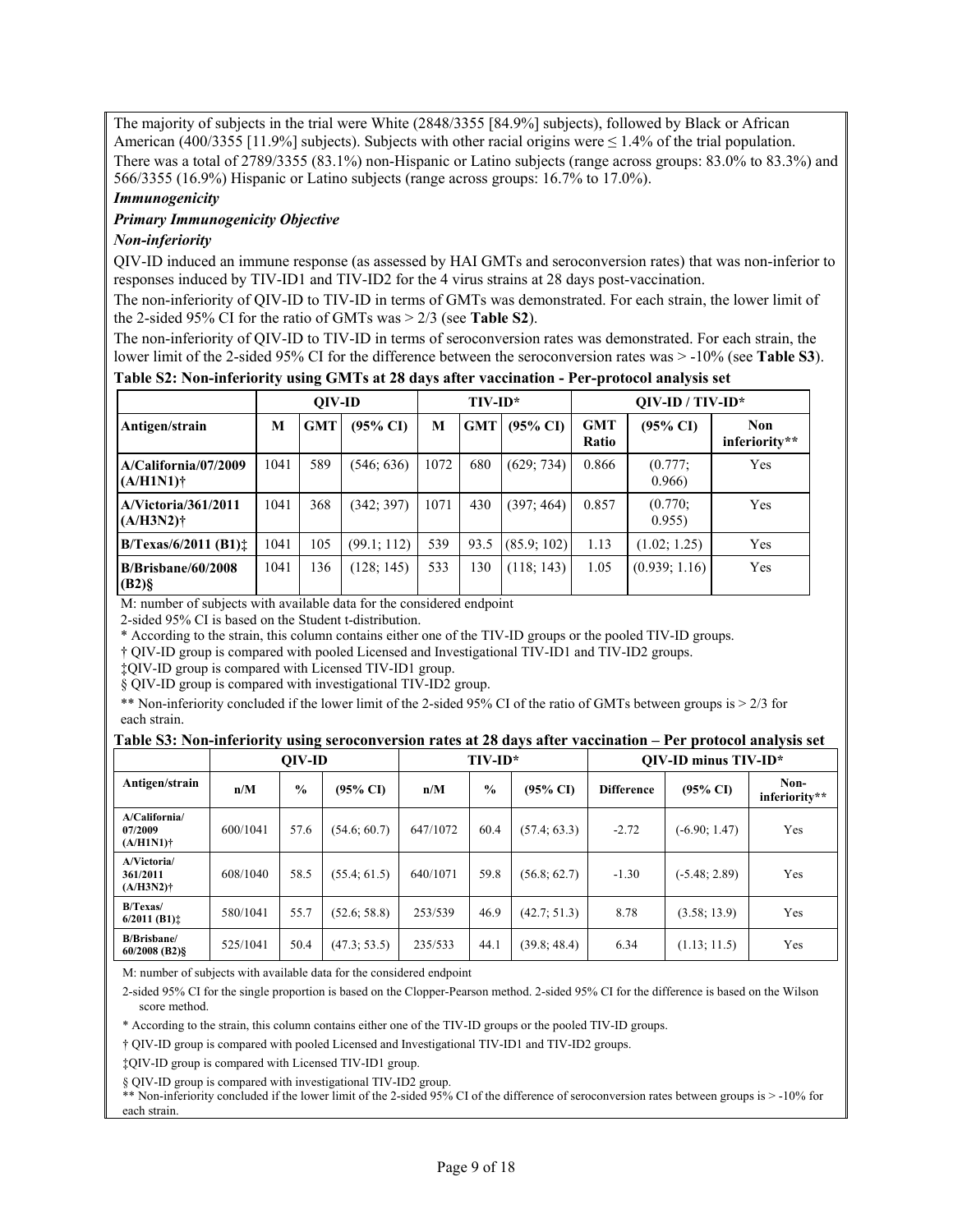The majority of subjects in the trial were White (2848/3355 [84.9%] subjects), followed by Black or African American (400/3355 [11.9%] subjects). Subjects with other racial origins were  $\leq 1.4\%$  of the trial population. There was a total of 2789/3355 (83.1%) non-Hispanic or Latino subjects (range across groups: 83.0% to 83.3%) and 566/3355 (16.9%) Hispanic or Latino subjects (range across groups: 16.7% to 17.0%).

#### *Immunogenicity*

#### *Primary Immunogenicity Objective*

### *Non-inferiority*

QIV-ID induced an immune response (as assessed by HAI GMTs and seroconversion rates) that was non-inferior to responses induced by TIV-ID1 and TIV-ID2 for the 4 virus strains at 28 days post-vaccination.

The non-inferiority of QIV-ID to TIV-ID in terms of GMTs was demonstrated. For each strain, the lower limit of the 2-sided 95% CI for the ratio of GMTs was > 2/3 (see **Table S2**).

The non-inferiority of QIV-ID to TIV-ID in terms of seroconversion rates was demonstrated. For each strain, the lower limit of the 2-sided 95% CI for the difference between the seroconversion rates was > -10% (see **Table S3**).

### **Table S2: Non-inferiority using GMTs at 28 days after vaccination - Per-protocol analysis set**

|                                      |      | OIV-ID |                     |      | $TIV-ID^*$ |                     |                     | $OIV-ID / TIV-ID*$  |                             |
|--------------------------------------|------|--------|---------------------|------|------------|---------------------|---------------------|---------------------|-----------------------------|
| Antigen/strain                       | M    | GMT    | $(95\% \text{ CI})$ | M    | <b>GMT</b> | $(95\% \text{ CI})$ | <b>GMT</b><br>Ratio | $(95\% \text{ CI})$ | <b>Non</b><br>inferiority** |
| A/California/07/2009<br>$(A/H1N1)$ † | 1041 | 589    | (546; 636)          | 1072 | 680        | (629; 734)          | 0.866               | (0.777)<br>0.966    | Yes                         |
| A/Victoria/361/2011<br>$(A/H3N2)$ †  | 1041 | 368    | (342; 397)          | 1071 | 430        | (397; 464)          | 0.857               | (0.770)<br>0.955    | Yes                         |
| $B/T$ exas/6/2011 (B1) $\pm$         | 1041 | 105    | (99.1; 112)         | 539  | 93.5       | (85.9; 102)         | 1.13                | (1.02; 1.25)        | Yes                         |
| $B/B$ risbane/60/2008<br>$(B2)$ §    | 1041 | 136    | (128; 145)          | 533  | 130        | (118; 143)          | 1.05                | (0.939; 1.16)       | Yes                         |

M: number of subjects with available data for the considered endpoint

2-sided 95% CI is based on the Student t-distribution.

\* According to the strain, this column contains either one of the TIV-ID groups or the pooled TIV-ID groups.

† QIV-ID group is compared with pooled Licensed and Investigational TIV-ID1 and TIV-ID2 groups.

‡QIV-ID group is compared with Licensed TIV-ID1 group.

§ QIV-ID group is compared with investigational TIV-ID2 group.

\*\* Non-inferiority concluded if the lower limit of the 2-sided 95% CI of the ratio of GMTs between groups is > 2/3 for each strain.

#### **Table S3: Non-inferiority using seroconversion rates at 28 days after vaccination – Per protocol analysis set**

|                                          |          | OIV-ID        |                     |          | $TIV-ID*$     |                     | $OIV$ -ID minus $TIV$ -ID* |                     |                       |  |
|------------------------------------------|----------|---------------|---------------------|----------|---------------|---------------------|----------------------------|---------------------|-----------------------|--|
| Antigen/strain                           | n/M      | $\frac{0}{0}$ | $(95\% \text{ CI})$ | n/M      | $\frac{0}{0}$ | $(95\% \text{ CI})$ | <b>Difference</b>          | $(95\% \text{ C}I)$ | Non-<br>inferiority** |  |
| A/California/<br>07/2009<br>$(A/H1N1)$ † | 600/1041 | 57.6          | (54.6; 60.7)        | 647/1072 | 60.4          | (57.4; 63.3)        | $-2.72$                    | $(-6.90; 1.47)$     | Yes                   |  |
| A/Victoria/<br>361/2011<br>$(A/H3N2)$ †  | 608/1040 | 58.5          | (55.4; 61.5)        | 640/1071 | 59.8          | (56.8; 62.7)        | $-1.30$                    | $(-5.48; 2.89)$     | Yes                   |  |
| $B/T$ exas/<br>$6/2011$ (B1) $\pm$       | 580/1041 | 55.7          | (52.6; 58.8)        | 253/539  | 46.9          | (42.7; 51.3)        | 8.78                       | (3.58; 13.9)        | Yes                   |  |
| <b>B/Brisbane/</b><br>$60/2008$ (B2) §   | 525/1041 | 50.4          | (47.3; 53.5)        | 235/533  | 44.1          | (39.8; 48.4)        | 6.34                       | (1.13; 11.5)        | Yes                   |  |

M: number of subjects with available data for the considered endpoint

2-sided 95% CI for the single proportion is based on the Clopper-Pearson method. 2-sided 95% CI for the difference is based on the Wilson score method.

\* According to the strain, this column contains either one of the TIV-ID groups or the pooled TIV-ID groups.

† QIV-ID group is compared with pooled Licensed and Investigational TIV-ID1 and TIV-ID2 groups.

‡QIV-ID group is compared with Licensed TIV-ID1 group.

§ QIV-ID group is compared with investigational TIV-ID2 group.

\*\* Non-inferiority concluded if the lower limit of the 2-sided 95% CI of the difference of seroconversion rates between groups is > -10% for each strain.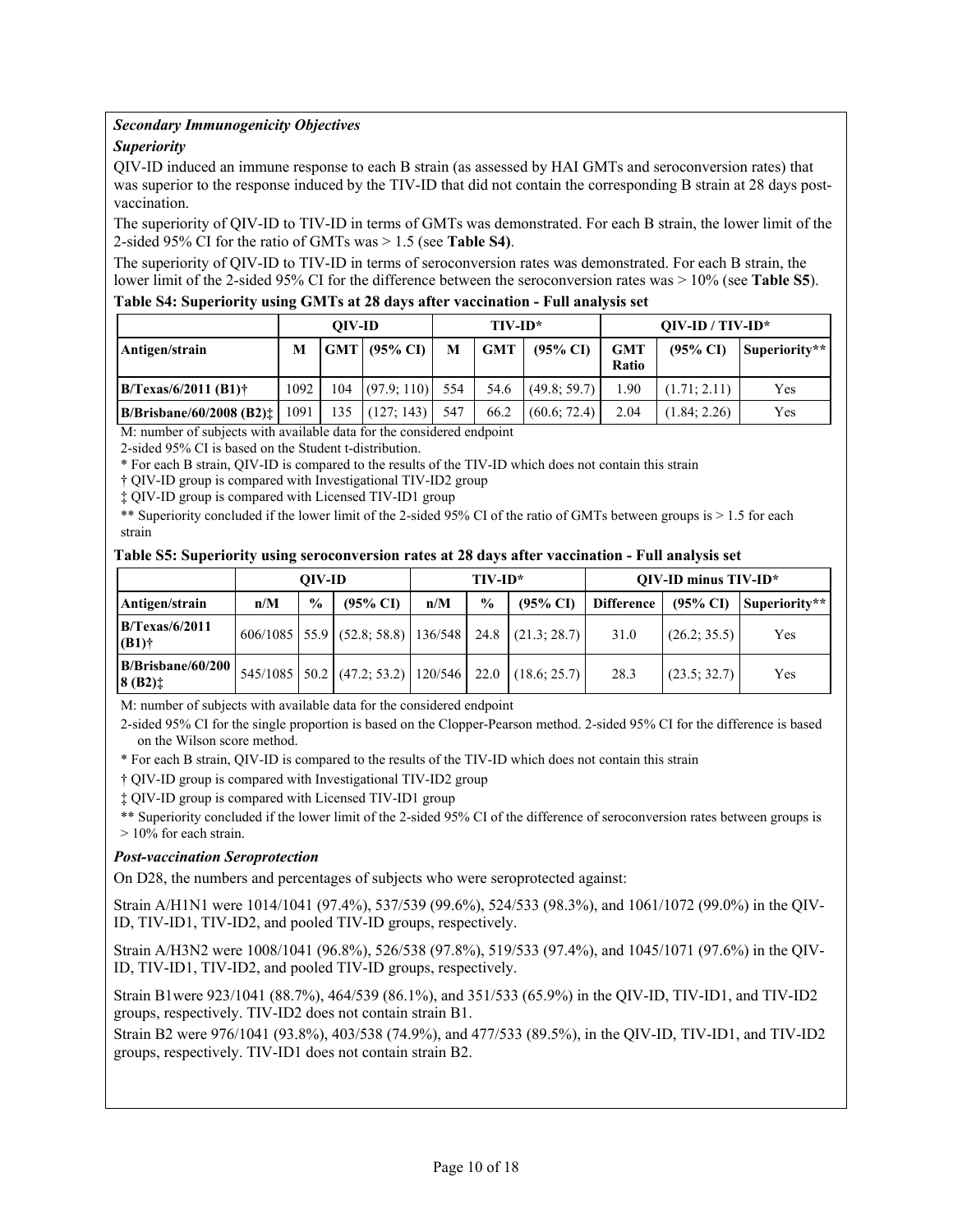### *Secondary Immunogenicity Objectives*

### *Superiority*

QIV-ID induced an immune response to each B strain (as assessed by HAI GMTs and seroconversion rates) that was superior to the response induced by the TIV-ID that did not contain the corresponding B strain at 28 days postvaccination.

The superiority of QIV-ID to TIV-ID in terms of GMTs was demonstrated. For each B strain, the lower limit of the 2-sided 95% CI for the ratio of GMTs was > 1.5 (see **Table S4)**.

The superiority of QIV-ID to TIV-ID in terms of seroconversion rates was demonstrated. For each B strain, the lower limit of the 2-sided 95% CI for the difference between the seroconversion rates was > 10% (see **Table S5**).

#### **Table S4: Superiority using GMTs at 28 days after vaccination - Full analysis set**

|                                                |      | OIV-ID |                  |     | $TIV-ID^*$ |                     | $OIV-ID / TIV-ID*$  |                     |               |  |
|------------------------------------------------|------|--------|------------------|-----|------------|---------------------|---------------------|---------------------|---------------|--|
| Antigen/strain                                 | М    |        | $ GMT $ (95% CI) | M   | <b>GMT</b> | $(95\% \text{ CI})$ | <b>GMT</b><br>Ratio | $(95\% \text{ CI})$ | Superiority** |  |
| $B/T$ exas/6/2011 (B1)†                        | 1092 | 104    | (97.9:110)       | 554 | 54.6       | (49.8; 59.7)        | .90                 | (1.71; 2.11)        | Yes           |  |
| B/Brisbane/60/2008 (B2):<br>$\cdots$<br>$\sim$ | 1091 | 135    | (127; 143)       | 547 | 66.2       | (60.6; 72.4)        | 2.04                | (1.84; 2.26)        | Yes           |  |

M: number of subjects with available data for the considered endpoint

2-sided 95% CI is based on the Student t-distribution.

\* For each B strain, QIV-ID is compared to the results of the TIV-ID which does not contain this strain

† QIV-ID group is compared with Investigational TIV-ID2 group

‡ QIV-ID group is compared with Licensed TIV-ID1 group

\*\* Superiority concluded if the lower limit of the 2-sided 95% CI of the ratio of GMTs between groups is  $> 1.5$  for each strain

#### **Table S5: Superiority using seroconversion rates at 28 days after vaccination - Full analysis set**

|                                 |     | OIV-ID        |                                                                          |     | $TIV-ID^*$    |                     | $OIV$ -ID minus $TIV$ -ID* |                     |               |  |
|---------------------------------|-----|---------------|--------------------------------------------------------------------------|-----|---------------|---------------------|----------------------------|---------------------|---------------|--|
| Antigen/strain                  | n/M | $\frac{6}{9}$ | $(95\% \text{ C}I)$                                                      | n/M | $\frac{0}{0}$ | $(95\% \text{ CI})$ | <b>Difference</b>          | $(95\% \text{ CI})$ | Superiority** |  |
| $B/T$ exas/6/2011<br>$(B1)$ †   |     |               | $606/1085$ 55.9 (52.8; 58.8) 136/548 24.8 (21.3; 28.7)                   |     |               |                     | 31.0                       | (26.2; 35.5)        | Yes           |  |
| B/Brisbane/60/200<br>$ 8 (B2)+$ |     |               | $545/1085$   $50.2$   $(47.2; 53.2)$   $120/546$   22.0   $(18.6; 25.7)$ |     |               |                     | 28.3                       | (23.5; 32.7)        | Yes           |  |

M: number of subjects with available data for the considered endpoint

2-sided 95% CI for the single proportion is based on the Clopper-Pearson method. 2-sided 95% CI for the difference is based on the Wilson score method.

\* For each B strain, QIV-ID is compared to the results of the TIV-ID which does not contain this strain

† QIV-ID group is compared with Investigational TIV-ID2 group

‡ QIV-ID group is compared with Licensed TIV-ID1 group

\*\* Superiority concluded if the lower limit of the 2-sided 95% CI of the difference of seroconversion rates between groups is > 10% for each strain.

#### *Post-vaccination Seroprotection*

On D28, the numbers and percentages of subjects who were seroprotected against:

Strain A/H1N1 were 1014/1041 (97.4%), 537/539 (99.6%), 524/533 (98.3%), and 1061/1072 (99.0%) in the QIV-ID, TIV-ID1, TIV-ID2, and pooled TIV-ID groups, respectively.

Strain A/H3N2 were 1008/1041 (96.8%), 526/538 (97.8%), 519/533 (97.4%), and 1045/1071 (97.6%) in the QIV-ID, TIV-ID1, TIV-ID2, and pooled TIV-ID groups, respectively.

Strain B1were 923/1041 (88.7%), 464/539 (86.1%), and 351/533 (65.9%) in the QIV-ID, TIV-ID1, and TIV-ID2 groups, respectively. TIV-ID2 does not contain strain B1.

Strain B2 were 976/1041 (93.8%), 403/538 (74.9%), and 477/533 (89.5%), in the QIV-ID, TIV-ID1, and TIV-ID2 groups, respectively. TIV-ID1 does not contain strain B2.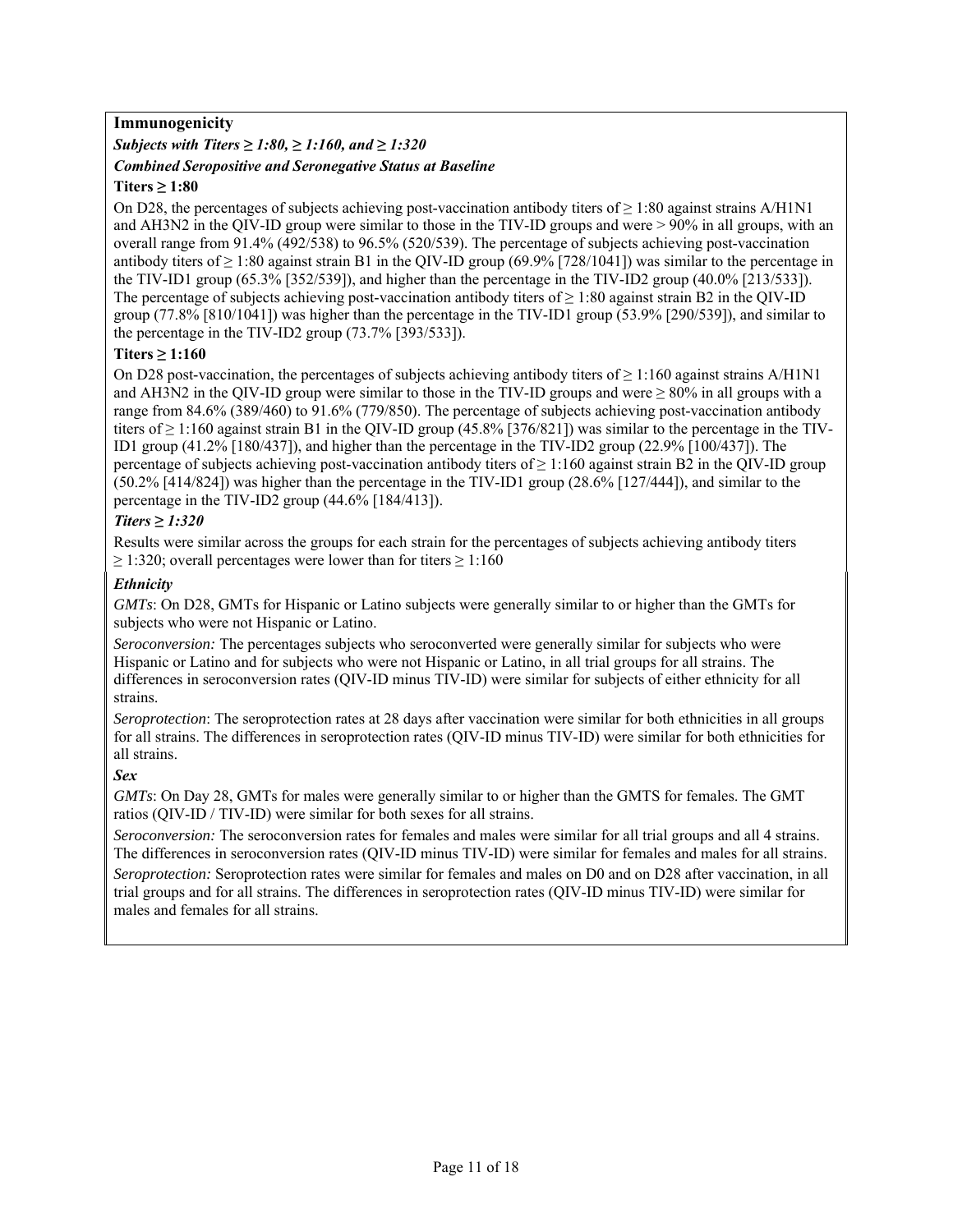# **Immunogenicity**

# *Subjects with Titers ≥ 1:80, ≥ 1:160, and ≥ 1:320 Combined Seropositive and Seronegative Status at Baseline*

# **Titers ≥ 1:80**

On D28, the percentages of subjects achieving post-vaccination antibody titers of  $\geq 1:80$  against strains A/H1N1 and AH3N2 in the QIV-ID group were similar to those in the TIV-ID groups and were > 90% in all groups, with an overall range from 91.4% (492/538) to 96.5% (520/539). The percentage of subjects achieving post-vaccination antibody titers of  $\geq 1:80$  against strain B1 in the QIV-ID group (69.9% [728/1041]) was similar to the percentage in the TIV-ID1 group (65.3% [352/539]), and higher than the percentage in the TIV-ID2 group (40.0% [213/533]). The percentage of subjects achieving post-vaccination antibody titers of  $\geq 1:80$  against strain B2 in the QIV-ID group (77.8% [810/1041]) was higher than the percentage in the TIV-ID1 group (53.9% [290/539]), and similar to the percentage in the TIV-ID2 group (73.7% [393/533]).

# **Titers ≥ 1:160**

On D28 post-vaccination, the percentages of subjects achieving antibody titers of  $\geq 1:160$  against strains A/H1N1 and AH3N2 in the QIV-ID group were similar to those in the TIV-ID groups and were  $\geq 80\%$  in all groups with a range from 84.6% (389/460) to 91.6% (779/850). The percentage of subjects achieving post-vaccination antibody titers of  $\geq$  1:160 against strain B1 in the QIV-ID group (45.8% [376/821]) was similar to the percentage in the TIV-ID1 group (41.2% [180/437]), and higher than the percentage in the TIV-ID2 group (22.9% [100/437]). The percentage of subjects achieving post-vaccination antibody titers of  $\geq 1:160$  against strain B2 in the QIV-ID group (50.2% [414/824]) was higher than the percentage in the TIV-ID1 group (28.6% [127/444]), and similar to the percentage in the TIV-ID2 group (44.6% [184/413]).

# *Titers ≥ 1:320*

Results were similar across the groups for each strain for the percentages of subjects achieving antibody titers  $\geq$  1:320; overall percentages were lower than for titers  $\geq$  1:160

# *Ethnicity*

*GMTs*: On D28, GMTs for Hispanic or Latino subjects were generally similar to or higher than the GMTs for subjects who were not Hispanic or Latino.

*Seroconversion:* The percentages subjects who seroconverted were generally similar for subjects who were Hispanic or Latino and for subjects who were not Hispanic or Latino, in all trial groups for all strains. The differences in seroconversion rates (QIV-ID minus TIV-ID) were similar for subjects of either ethnicity for all strains.

*Seroprotection*: The seroprotection rates at 28 days after vaccination were similar for both ethnicities in all groups for all strains. The differences in seroprotection rates (QIV-ID minus TIV-ID) were similar for both ethnicities for all strains.

# *Sex*

*GMTs*: On Day 28, GMTs for males were generally similar to or higher than the GMTS for females. The GMT ratios (QIV-ID / TIV-ID) were similar for both sexes for all strains.

*Seroconversion:* The seroconversion rates for females and males were similar for all trial groups and all 4 strains. The differences in seroconversion rates (QIV-ID minus TIV-ID) were similar for females and males for all strains.

*Seroprotection:* Seroprotection rates were similar for females and males on D0 and on D28 after vaccination, in all trial groups and for all strains. The differences in seroprotection rates (QIV-ID minus TIV-ID) were similar for males and females for all strains.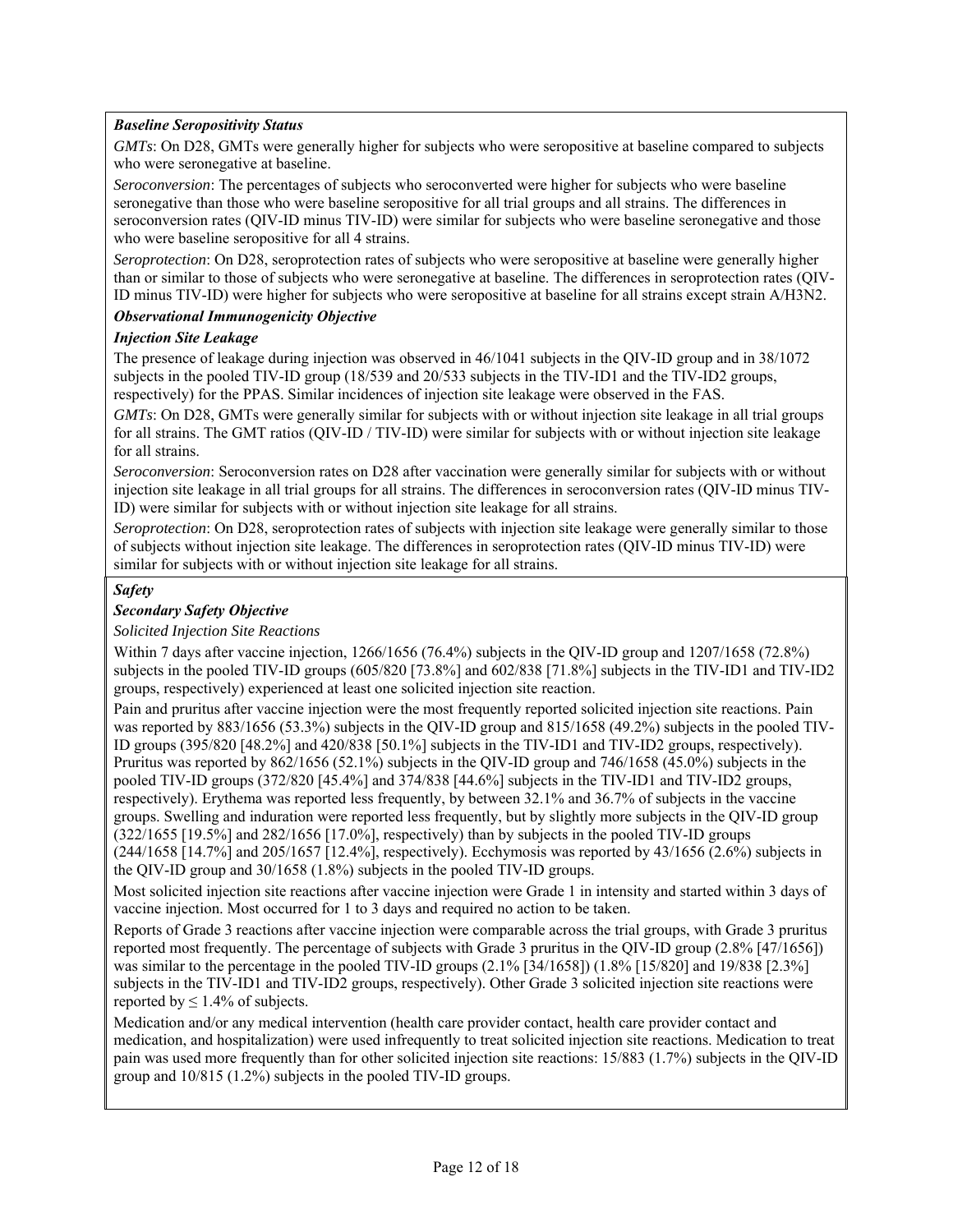# *Baseline Seropositivity Status*

*GMTs*: On D28, GMTs were generally higher for subjects who were seropositive at baseline compared to subjects who were seronegative at baseline.

*Seroconversion*: The percentages of subjects who seroconverted were higher for subjects who were baseline seronegative than those who were baseline seropositive for all trial groups and all strains. The differences in seroconversion rates (QIV-ID minus TIV-ID) were similar for subjects who were baseline seronegative and those who were baseline seropositive for all 4 strains.

*Seroprotection*: On D28, seroprotection rates of subjects who were seropositive at baseline were generally higher than or similar to those of subjects who were seronegative at baseline. The differences in seroprotection rates (QIV-ID minus TIV-ID) were higher for subjects who were seropositive at baseline for all strains except strain A/H3N2.

#### *Observational Immunogenicity Objective*

#### *Injection Site Leakage*

The presence of leakage during injection was observed in 46/1041 subjects in the QIV-ID group and in 38/1072 subjects in the pooled TIV-ID group (18/539 and 20/533 subjects in the TIV-ID1 and the TIV-ID2 groups, respectively) for the PPAS. Similar incidences of injection site leakage were observed in the FAS.

*GMTs*: On D28, GMTs were generally similar for subjects with or without injection site leakage in all trial groups for all strains. The GMT ratios (QIV-ID / TIV-ID) were similar for subjects with or without injection site leakage for all strains.

*Seroconversion*: Seroconversion rates on D28 after vaccination were generally similar for subjects with or without injection site leakage in all trial groups for all strains. The differences in seroconversion rates (QIV-ID minus TIV-ID) were similar for subjects with or without injection site leakage for all strains.

*Seroprotection*: On D28, seroprotection rates of subjects with injection site leakage were generally similar to those of subjects without injection site leakage. The differences in seroprotection rates (QIV-ID minus TIV-ID) were similar for subjects with or without injection site leakage for all strains.

# *Safety*

# *Secondary Safety Objective*

#### *Solicited Injection Site Reactions*

Within 7 days after vaccine injection, 1266/1656 (76.4%) subjects in the QIV-ID group and 1207/1658 (72.8%) subjects in the pooled TIV-ID groups (605/820 [73.8%] and 602/838 [71.8%] subjects in the TIV-ID1 and TIV-ID2 groups, respectively) experienced at least one solicited injection site reaction.

Pain and pruritus after vaccine injection were the most frequently reported solicited injection site reactions. Pain was reported by 883/1656 (53.3%) subjects in the QIV-ID group and 815/1658 (49.2%) subjects in the pooled TIV-ID groups (395/820 [48.2%] and 420/838 [50.1%] subjects in the TIV-ID1 and TIV-ID2 groups, respectively). Pruritus was reported by 862/1656 (52.1%) subjects in the QIV-ID group and 746/1658 (45.0%) subjects in the pooled TIV-ID groups (372/820 [45.4%] and 374/838 [44.6%] subjects in the TIV-ID1 and TIV-ID2 groups, respectively). Erythema was reported less frequently, by between 32.1% and 36.7% of subjects in the vaccine groups. Swelling and induration were reported less frequently, but by slightly more subjects in the QIV-ID group (322/1655 [19.5%] and 282/1656 [17.0%], respectively) than by subjects in the pooled TIV-ID groups (244/1658 [14.7%] and 205/1657 [12.4%], respectively). Ecchymosis was reported by 43/1656 (2.6%) subjects in the QIV-ID group and 30/1658 (1.8%) subjects in the pooled TIV-ID groups.

Most solicited injection site reactions after vaccine injection were Grade 1 in intensity and started within 3 days of vaccine injection. Most occurred for 1 to 3 days and required no action to be taken.

Reports of Grade 3 reactions after vaccine injection were comparable across the trial groups, with Grade 3 pruritus reported most frequently. The percentage of subjects with Grade 3 pruritus in the QIV-ID group (2.8% [47/1656]) was similar to the percentage in the pooled TIV-ID groups (2.1% [34/1658]) (1.8% [15/820] and 19/838 [2.3%] subjects in the TIV-ID1 and TIV-ID2 groups, respectively). Other Grade 3 solicited injection site reactions were reported by  $\leq 1.4\%$  of subjects.

Medication and/or any medical intervention (health care provider contact, health care provider contact and medication, and hospitalization) were used infrequently to treat solicited injection site reactions. Medication to treat pain was used more frequently than for other solicited injection site reactions: 15/883 (1.7%) subjects in the QIV-ID group and 10/815 (1.2%) subjects in the pooled TIV-ID groups.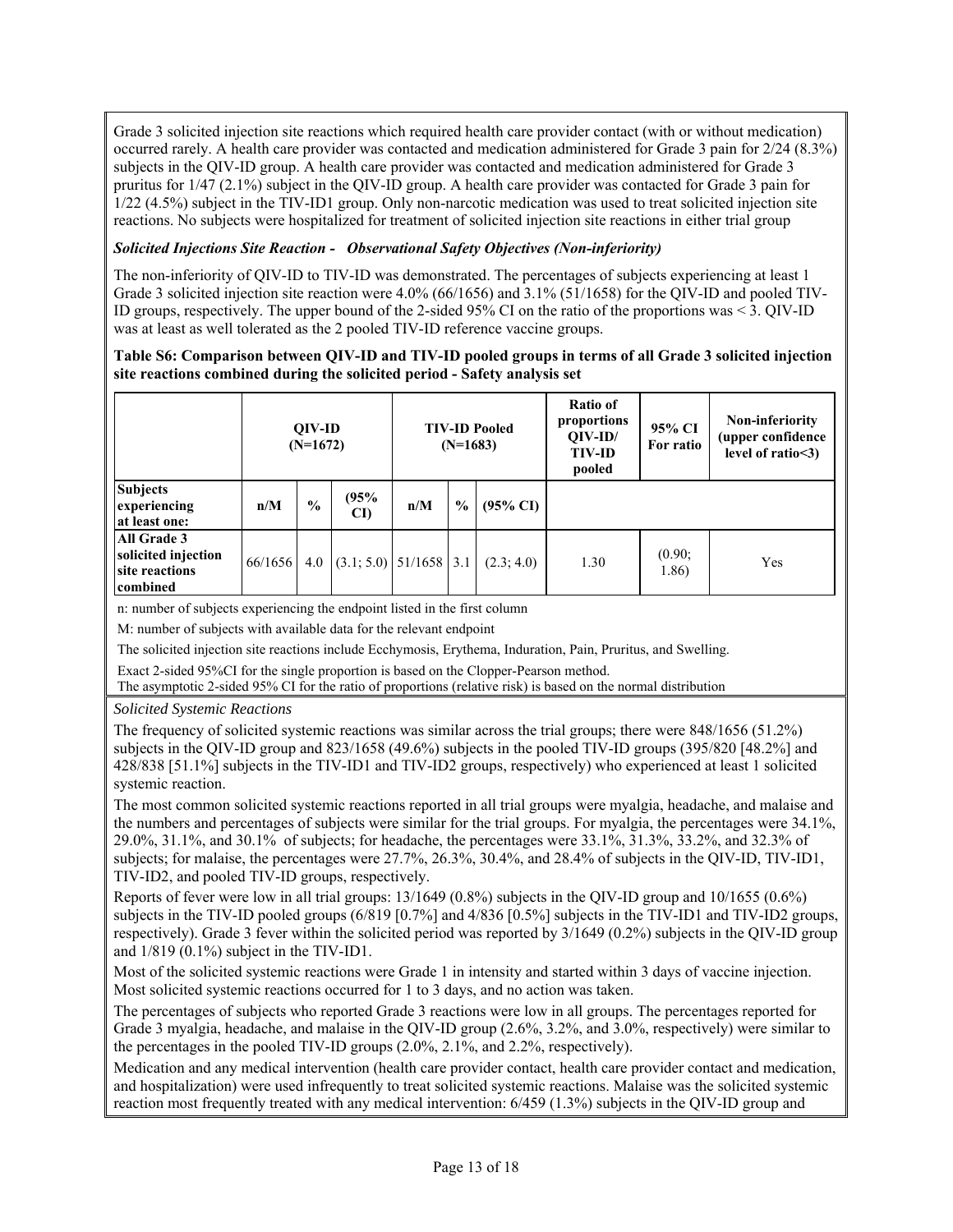Grade 3 solicited injection site reactions which required health care provider contact (with or without medication) occurred rarely. A health care provider was contacted and medication administered for Grade 3 pain for 2/24 (8.3%) subjects in the QIV-ID group. A health care provider was contacted and medication administered for Grade 3 pruritus for 1/47 (2.1%) subject in the QIV-ID group. A health care provider was contacted for Grade 3 pain for 1/22 (4.5%) subject in the TIV-ID1 group. Only non-narcotic medication was used to treat solicited injection site reactions. No subjects were hospitalized for treatment of solicited injection site reactions in either trial group

### *Solicited Injections Site Reaction - Observational Safety Objectives (Non-inferiority)*

The non-inferiority of QIV-ID to TIV-ID was demonstrated. The percentages of subjects experiencing at least 1 Grade 3 solicited injection site reaction were 4.0% (66/1656) and 3.1% (51/1658) for the QIV-ID and pooled TIV-ID groups, respectively. The upper bound of the 2-sided 95% CI on the ratio of the proportions was < 3. QIV-ID was at least as well tolerated as the 2 pooled TIV-ID reference vaccine groups.

#### **Table S6: Comparison between QIV-ID and TIV-ID pooled groups in terms of all Grade 3 solicited injection site reactions combined during the solicited period - Safety analysis set**

|                                                                         |         | <b>OIV-ID</b><br>$(N=1672)$ |                          |     | $(N=1683)$    | <b>TIV-ID Pooled</b> | Ratio of<br>proportions<br>$OIV-ID/$<br><b>TIV-ID</b><br>pooled | 95% CI<br>For ratio | Non-inferiority<br>(upper confidence<br>level of ratio $\leq$ 3) |
|-------------------------------------------------------------------------|---------|-----------------------------|--------------------------|-----|---------------|----------------------|-----------------------------------------------------------------|---------------------|------------------------------------------------------------------|
| <b>Subjects</b><br>experiencing<br>at least one:                        | n/M     | $\frac{0}{0}$               | (95%<br>CI)              | n/M | $\frac{0}{0}$ | $(95\% \text{ CI})$  |                                                                 |                     |                                                                  |
| All Grade 3<br>solicited injection<br>site reactions<br><b>combined</b> | 66/1656 | 4.0                         | $(3.1; 5.0)$ 51/1658 3.1 |     |               | (2.3; 4.0)           | 1.30                                                            | (0.90;<br>1.86)     | Yes                                                              |

n: number of subjects experiencing the endpoint listed in the first column

M: number of subjects with available data for the relevant endpoint

The solicited injection site reactions include Ecchymosis, Erythema, Induration, Pain, Pruritus, and Swelling.

Exact 2-sided 95%CI for the single proportion is based on the Clopper-Pearson method.

The asymptotic 2-sided 95% CI for the ratio of proportions (relative risk) is based on the normal distribution

*Solicited Systemic Reactions* 

The frequency of solicited systemic reactions was similar across the trial groups; there were 848/1656 (51.2%) subjects in the QIV-ID group and 823/1658 (49.6%) subjects in the pooled TIV-ID groups (395/820 [48.2%] and 428/838 [51.1%] subjects in the TIV-ID1 and TIV-ID2 groups, respectively) who experienced at least 1 solicited systemic reaction.

The most common solicited systemic reactions reported in all trial groups were myalgia, headache, and malaise and the numbers and percentages of subjects were similar for the trial groups. For myalgia, the percentages were 34.1%, 29.0%, 31.1%, and 30.1% of subjects; for headache, the percentages were 33.1%, 31.3%, 33.2%, and 32.3% of subjects; for malaise, the percentages were 27.7%, 26.3%, 30.4%, and 28.4% of subjects in the QIV-ID, TIV-ID1, TIV-ID2, and pooled TIV-ID groups, respectively.

Reports of fever were low in all trial groups: 13/1649 (0.8%) subjects in the QIV-ID group and 10/1655 (0.6%) subjects in the TIV-ID pooled groups (6/819 [0.7%] and 4/836 [0.5%] subjects in the TIV-ID1 and TIV-ID2 groups, respectively). Grade 3 fever within the solicited period was reported by 3/1649 (0.2%) subjects in the QIV-ID group and 1/819 (0.1%) subject in the TIV-ID1.

Most of the solicited systemic reactions were Grade 1 in intensity and started within 3 days of vaccine injection. Most solicited systemic reactions occurred for 1 to 3 days, and no action was taken.

The percentages of subjects who reported Grade 3 reactions were low in all groups. The percentages reported for Grade 3 myalgia, headache, and malaise in the QIV-ID group (2.6%, 3.2%, and 3.0%, respectively) were similar to the percentages in the pooled TIV-ID groups (2.0%, 2.1%, and 2.2%, respectively).

Medication and any medical intervention (health care provider contact, health care provider contact and medication, and hospitalization) were used infrequently to treat solicited systemic reactions. Malaise was the solicited systemic reaction most frequently treated with any medical intervention: 6/459 (1.3%) subjects in the QIV-ID group and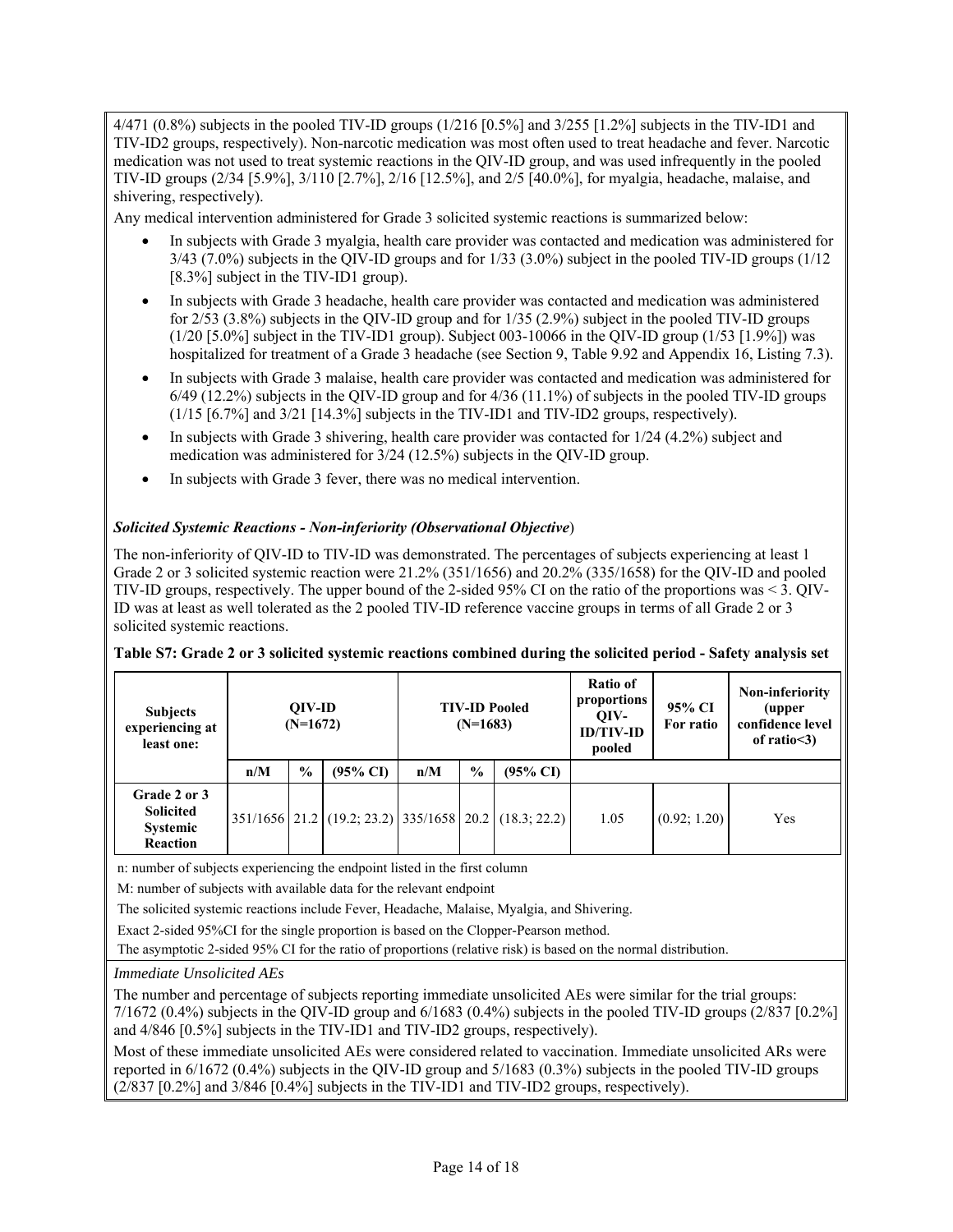$4/471$  (0.8%) subjects in the pooled TIV-ID groups  $(1/216)$  [0.5%] and  $3/255$  [1.2%] subjects in the TIV-ID1 and TIV-ID2 groups, respectively). Non-narcotic medication was most often used to treat headache and fever. Narcotic medication was not used to treat systemic reactions in the QIV-ID group, and was used infrequently in the pooled TIV-ID groups (2/34 [5.9%], 3/110 [2.7%], 2/16 [12.5%], and 2/5 [40.0%], for myalgia, headache, malaise, and shivering, respectively).

Any medical intervention administered for Grade 3 solicited systemic reactions is summarized below:

- In subjects with Grade 3 myalgia, health care provider was contacted and medication was administered for 3/43 (7.0%) subjects in the QIV-ID groups and for 1/33 (3.0%) subject in the pooled TIV-ID groups (1/12 [8.3%] subject in the TIV-ID1 group).
- In subjects with Grade 3 headache, health care provider was contacted and medication was administered for 2/53 (3.8%) subjects in the QIV-ID group and for 1/35 (2.9%) subject in the pooled TIV-ID groups  $(1/20 15.0\%]$  subject in the TIV-ID1 group). Subject 003-10066 in the OIV-ID group  $(1/53 1.9\%]$  was hospitalized for treatment of a Grade 3 headache (see Section 9, Table 9.92 and Appendix 16, Listing 7.3).
- In subjects with Grade 3 malaise, health care provider was contacted and medication was administered for  $6/49$  (12.2%) subjects in the QIV-ID group and for  $4/36$  (11.1%) of subjects in the pooled TIV-ID groups (1/15 [6.7%] and 3/21 [14.3%] subjects in the TIV-ID1 and TIV-ID2 groups, respectively).
- In subjects with Grade 3 shivering, health care provider was contacted for 1/24 (4.2%) subject and medication was administered for 3/24 (12.5%) subjects in the QIV-ID group.
- In subjects with Grade 3 fever, there was no medical intervention.

### *Solicited Systemic Reactions - Non-inferiority (Observational Objective*)

The non-inferiority of QIV-ID to TIV-ID was demonstrated. The percentages of subjects experiencing at least 1 Grade 2 or 3 solicited systemic reaction were 21.2% (351/1656) and 20.2% (335/1658) for the QIV-ID and pooled TIV-ID groups, respectively. The upper bound of the 2-sided 95% CI on the ratio of the proportions was < 3. QIV-ID was at least as well tolerated as the 2 pooled TIV-ID reference vaccine groups in terms of all Grade 2 or 3 solicited systemic reactions.

#### **Table S7: Grade 2 or 3 solicited systemic reactions combined during the solicited period - Safety analysis set**

| <b>Subjects</b><br>experiencing at<br>least one:         | <b>OIV-ID</b><br>$(N=1672)$ |               |                     |     | $(N=1683)$    | <b>TIV-ID Pooled</b>                                  | Ratio of<br>proportions<br>OIV-<br><b>ID/TIV-ID</b><br>pooled | 95% CI<br>For ratio | Non-inferiority<br>(upper<br>confidence level<br>of ratio $\leq$ 3) |
|----------------------------------------------------------|-----------------------------|---------------|---------------------|-----|---------------|-------------------------------------------------------|---------------------------------------------------------------|---------------------|---------------------------------------------------------------------|
|                                                          | n/M                         | $\frac{0}{0}$ | $(95\% \text{ CI})$ | n/M | $\frac{0}{0}$ | $(95\% \text{ CI})$                                   |                                                               |                     |                                                                     |
| Grade 2 or 3<br><b>Solicited</b><br>Systemic<br>Reaction |                             |               |                     |     |               | 351/1656 21.2 (19.2; 23.2) 335/1658 20.2 (18.3; 22.2) | 1.05                                                          | (0.92; 1.20)        | Yes                                                                 |

n: number of subjects experiencing the endpoint listed in the first column

M: number of subjects with available data for the relevant endpoint

The solicited systemic reactions include Fever, Headache, Malaise, Myalgia, and Shivering.

Exact 2-sided 95%CI for the single proportion is based on the Clopper-Pearson method.

The asymptotic 2-sided 95% CI for the ratio of proportions (relative risk) is based on the normal distribution.

#### *Immediate Unsolicited AEs*

The number and percentage of subjects reporting immediate unsolicited AEs were similar for the trial groups:  $7/1672$  (0.4%) subjects in the QIV-ID group and  $6/1683$  (0.4%) subjects in the pooled TIV-ID groups (2/837 [0.2%] and 4/846 [0.5%] subjects in the TIV-ID1 and TIV-ID2 groups, respectively).

Most of these immediate unsolicited AEs were considered related to vaccination. Immediate unsolicited ARs were reported in 6/1672 (0.4%) subjects in the QIV-ID group and 5/1683 (0.3%) subjects in the pooled TIV-ID groups (2/837 [0.2%] and 3/846 [0.4%] subjects in the TIV-ID1 and TIV-ID2 groups, respectively).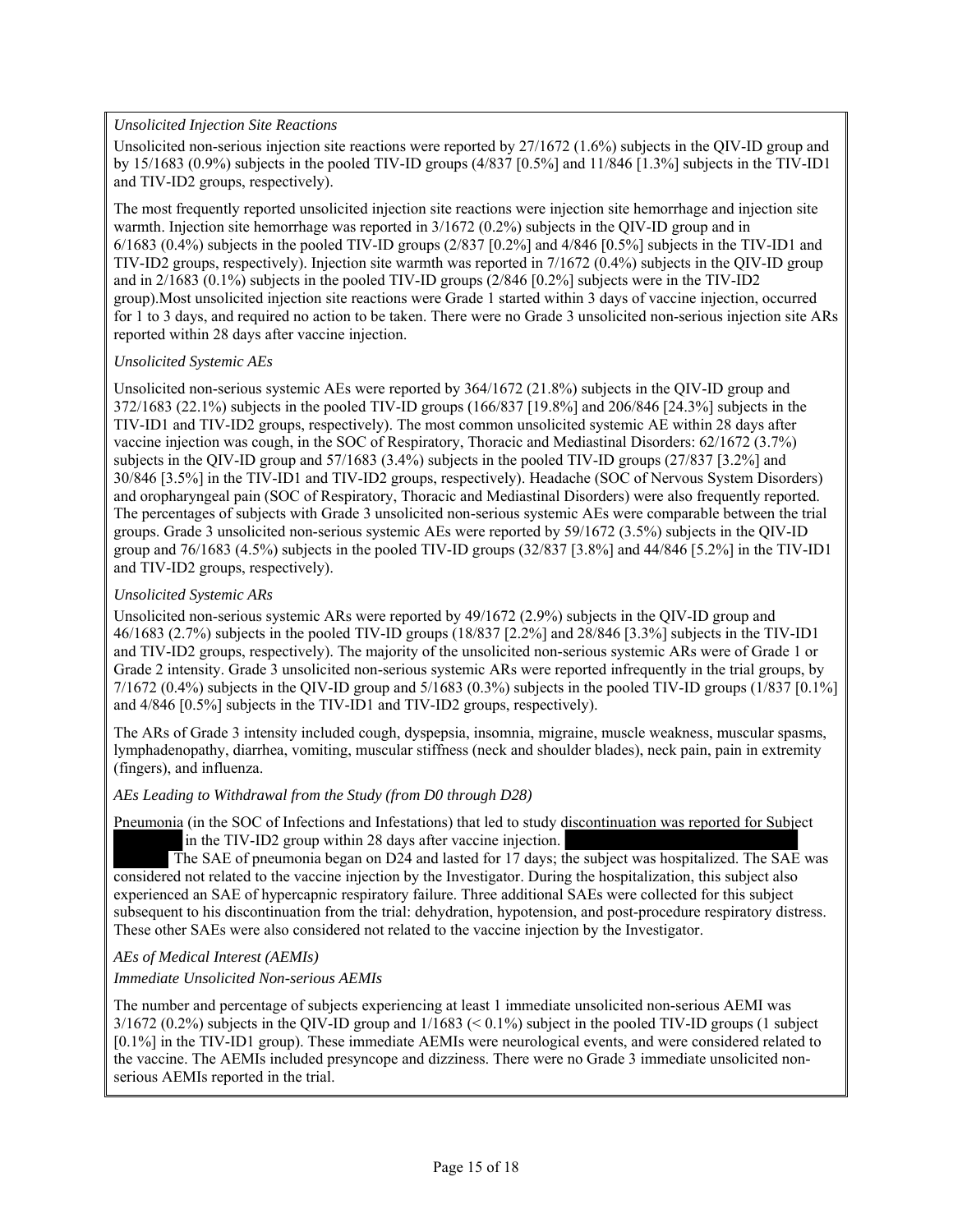### *Unsolicited Injection Site Reactions*

Unsolicited non-serious injection site reactions were reported by 27/1672 (1.6%) subjects in the QIV-ID group and by 15/1683 (0.9%) subjects in the pooled TIV-ID groups (4/837 [0.5%] and 11/846 [1.3%] subjects in the TIV-ID1 and TIV-ID2 groups, respectively).

The most frequently reported unsolicited injection site reactions were injection site hemorrhage and injection site warmth. Injection site hemorrhage was reported in  $3/1672$  (0.2%) subjects in the QIV-ID group and in 6/1683 (0.4%) subjects in the pooled TIV-ID groups (2/837 [0.2%] and 4/846 [0.5%] subjects in the TIV-ID1 and TIV-ID2 groups, respectively). Injection site warmth was reported in 7/1672 (0.4%) subjects in the QIV-ID group and in 2/1683 (0.1%) subjects in the pooled TIV-ID groups (2/846 [0.2%] subjects were in the TIV-ID2 group).Most unsolicited injection site reactions were Grade 1 started within 3 days of vaccine injection, occurred for 1 to 3 days, and required no action to be taken. There were no Grade 3 unsolicited non-serious injection site ARs reported within 28 days after vaccine injection.

#### *Unsolicited Systemic AEs*

Unsolicited non-serious systemic AEs were reported by 364/1672 (21.8%) subjects in the QIV-ID group and 372/1683 (22.1%) subjects in the pooled TIV-ID groups (166/837 [19.8%] and 206/846 [24.3%] subjects in the TIV-ID1 and TIV-ID2 groups, respectively). The most common unsolicited systemic AE within 28 days after vaccine injection was cough, in the SOC of Respiratory, Thoracic and Mediastinal Disorders: 62/1672 (3.7%) subjects in the QIV-ID group and 57/1683 (3.4%) subjects in the pooled TIV-ID groups (27/837 [3.2%] and 30/846 [3.5%] in the TIV-ID1 and TIV-ID2 groups, respectively). Headache (SOC of Nervous System Disorders) and oropharyngeal pain (SOC of Respiratory, Thoracic and Mediastinal Disorders) were also frequently reported. The percentages of subjects with Grade 3 unsolicited non-serious systemic AEs were comparable between the trial groups. Grade 3 unsolicited non-serious systemic AEs were reported by 59/1672 (3.5%) subjects in the QIV-ID group and 76/1683 (4.5%) subjects in the pooled TIV-ID groups (32/837 [3.8%] and 44/846 [5.2%] in the TIV-ID1 and TIV-ID2 groups, respectively).

### *Unsolicited Systemic ARs*

Unsolicited non-serious systemic ARs were reported by 49/1672 (2.9%) subjects in the QIV-ID group and 46/1683 (2.7%) subjects in the pooled TIV-ID groups (18/837 [2.2%] and 28/846 [3.3%] subjects in the TIV-ID1 and TIV-ID2 groups, respectively). The majority of the unsolicited non-serious systemic ARs were of Grade 1 or Grade 2 intensity. Grade 3 unsolicited non-serious systemic ARs were reported infrequently in the trial groups, by  $7/1672$  (0.4%) subjects in the QIV-ID group and  $5/1683$  (0.3%) subjects in the pooled TIV-ID groups (1/837 [0.1%] and 4/846 [0.5%] subjects in the TIV-ID1 and TIV-ID2 groups, respectively).

The ARs of Grade 3 intensity included cough, dyspepsia, insomnia, migraine, muscle weakness, muscular spasms, lymphadenopathy, diarrhea, vomiting, muscular stiffness (neck and shoulder blades), neck pain, pain in extremity (fingers), and influenza.

### *AEs Leading to Withdrawal from the Study (from D0 through D28)*

Pneumonia (in the SOC of Infections and Infestations) that led to study discontinuation was reported for Subject in the TIV-ID2 group within 28 days after vaccine injection.

 The SAE of pneumonia began on D24 and lasted for 17 days; the subject was hospitalized. The SAE was considered not related to the vaccine injection by the Investigator. During the hospitalization, this subject also experienced an SAE of hypercapnic respiratory failure. Three additional SAEs were collected for this subject subsequent to his discontinuation from the trial: dehydration, hypotension, and post-procedure respiratory distress. These other SAEs were also considered not related to the vaccine injection by the Investigator.

# *AEs of Medical Interest (AEMIs)*

#### *Immediate Unsolicited Non-serious AEMIs*

The number and percentage of subjects experiencing at least 1 immediate unsolicited non-serious AEMI was 3/1672 (0.2%) subjects in the QIV-ID group and 1/1683 (< 0.1%) subject in the pooled TIV-ID groups (1 subject [0.1%] in the TIV-ID1 group). These immediate AEMIs were neurological events, and were considered related to the vaccine. The AEMIs included presyncope and dizziness. There were no Grade 3 immediate unsolicited nonserious AEMIs reported in the trial.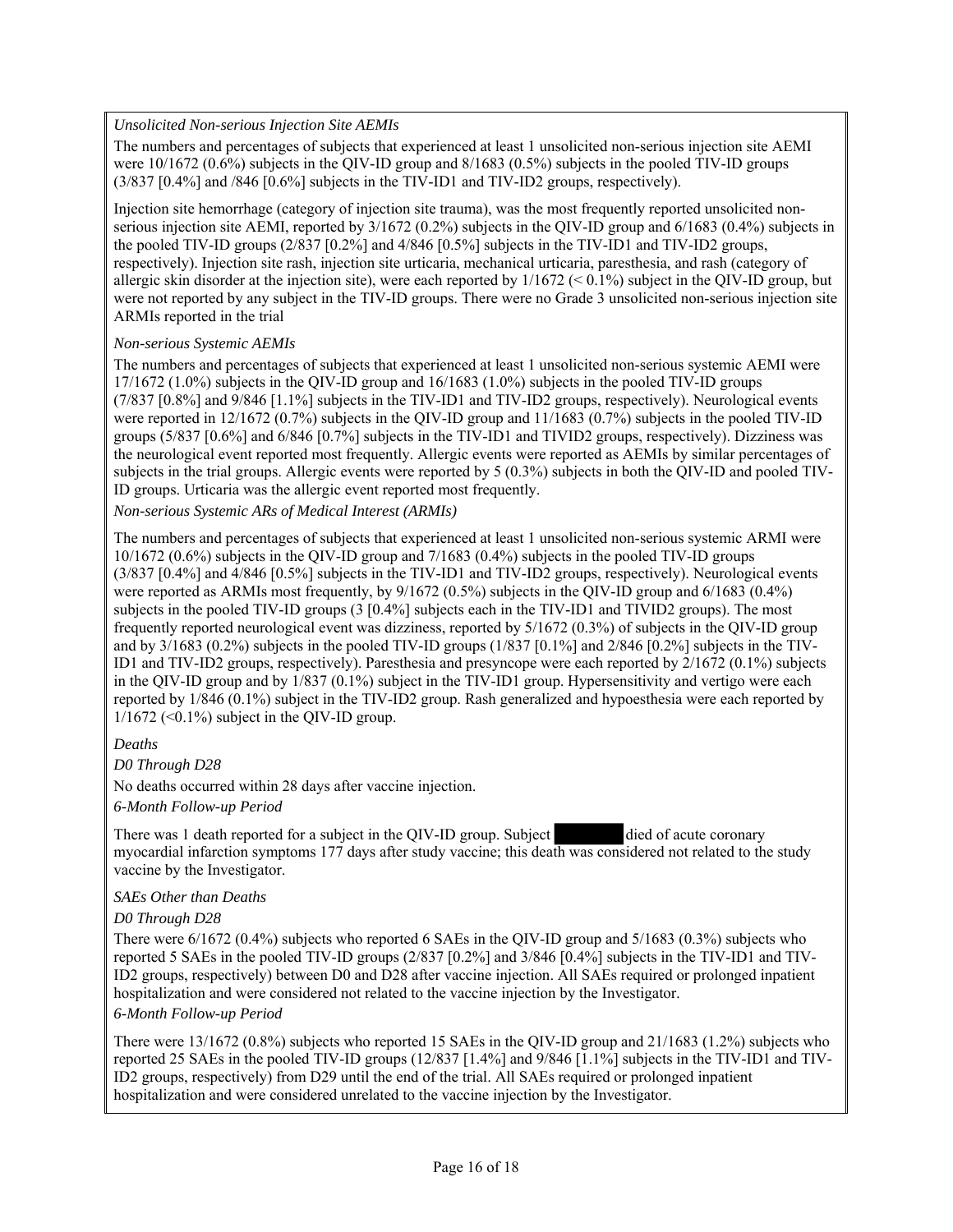### *Unsolicited Non-serious Injection Site AEMIs*

The numbers and percentages of subjects that experienced at least 1 unsolicited non-serious injection site AEMI were 10/1672 (0.6%) subjects in the QIV-ID group and 8/1683 (0.5%) subjects in the pooled TIV-ID groups  $(3/837 \, \text{[0.4\%]}$  and  $/846 \, \text{[0.6\%]}$  subjects in the TIV-ID1 and TIV-ID2 groups, respectively).

Injection site hemorrhage (category of injection site trauma), was the most frequently reported unsolicited nonserious injection site AEMI, reported by 3/1672 (0.2%) subjects in the QIV-ID group and 6/1683 (0.4%) subjects in the pooled TIV-ID groups (2/837 [0.2%] and 4/846 [0.5%] subjects in the TIV-ID1 and TIV-ID2 groups, respectively). Injection site rash, injection site urticaria, mechanical urticaria, paresthesia, and rash (category of allergic skin disorder at the injection site), were each reported by  $1/1672 \leq 0.1\%$  subject in the QIV-ID group, but were not reported by any subject in the TIV-ID groups. There were no Grade 3 unsolicited non-serious injection site ARMIs reported in the trial

### *Non-serious Systemic AEMIs*

The numbers and percentages of subjects that experienced at least 1 unsolicited non-serious systemic AEMI were 17/1672 (1.0%) subjects in the QIV-ID group and 16/1683 (1.0%) subjects in the pooled TIV-ID groups (7/837 [0.8%] and 9/846 [1.1%] subjects in the TIV-ID1 and TIV-ID2 groups, respectively). Neurological events were reported in 12/1672 (0.7%) subjects in the QIV-ID group and 11/1683 (0.7%) subjects in the pooled TIV-ID groups (5/837 [0.6%] and 6/846 [0.7%] subjects in the TIV-ID1 and TIVID2 groups, respectively). Dizziness was the neurological event reported most frequently. Allergic events were reported as AEMIs by similar percentages of subjects in the trial groups. Allergic events were reported by 5 (0.3%) subjects in both the QIV-ID and pooled TIV-ID groups. Urticaria was the allergic event reported most frequently.

*Non-serious Systemic ARs of Medical Interest (ARMIs)* 

The numbers and percentages of subjects that experienced at least 1 unsolicited non-serious systemic ARMI were 10/1672 (0.6%) subjects in the QIV-ID group and 7/1683 (0.4%) subjects in the pooled TIV-ID groups (3/837 [0.4%] and 4/846 [0.5%] subjects in the TIV-ID1 and TIV-ID2 groups, respectively). Neurological events were reported as ARMIs most frequently, by 9/1672 (0.5%) subjects in the QIV-ID group and 6/1683 (0.4%) subjects in the pooled TIV-ID groups (3 [0.4%] subjects each in the TIV-ID1 and TIVID2 groups). The most frequently reported neurological event was dizziness, reported by 5/1672 (0.3%) of subjects in the QIV-ID group and by 3/1683 (0.2%) subjects in the pooled TIV-ID groups (1/837 [0.1%] and 2/846 [0.2%] subjects in the TIV-ID1 and TIV-ID2 groups, respectively). Paresthesia and presyncope were each reported by 2/1672 (0.1%) subjects in the QIV-ID group and by 1/837 (0.1%) subject in the TIV-ID1 group. Hypersensitivity and vertigo were each reported by 1/846 (0.1%) subject in the TIV-ID2 group. Rash generalized and hypoesthesia were each reported by  $1/1672$  (<0.1%) subject in the QIV-ID group.

# *Deaths*

*D0 Through D28* 

No deaths occurred within 28 days after vaccine injection.

*6-Month Follow-up Period* 

There was 1 death reported for a subject in the QIV-ID group. Subject died of acute coronary myocardial infarction symptoms 177 days after study vaccine; this death was considered not related to the study vaccine by the Investigator.

#### *SAEs Other than Deaths*

*D0 Through D28* 

There were 6/1672 (0.4%) subjects who reported 6 SAEs in the QIV-ID group and 5/1683 (0.3%) subjects who reported 5 SAEs in the pooled TIV-ID groups (2/837 [0.2%] and 3/846 [0.4%] subjects in the TIV-ID1 and TIV-ID2 groups, respectively) between D0 and D28 after vaccine injection. All SAEs required or prolonged inpatient hospitalization and were considered not related to the vaccine injection by the Investigator.

#### *6-Month Follow-up Period*

There were 13/1672 (0.8%) subjects who reported 15 SAEs in the QIV-ID group and 21/1683 (1.2%) subjects who reported 25 SAEs in the pooled TIV-ID groups (12/837 [1.4%] and 9/846 [1.1%] subjects in the TIV-ID1 and TIV-ID2 groups, respectively) from D29 until the end of the trial. All SAEs required or prolonged inpatient hospitalization and were considered unrelated to the vaccine injection by the Investigator.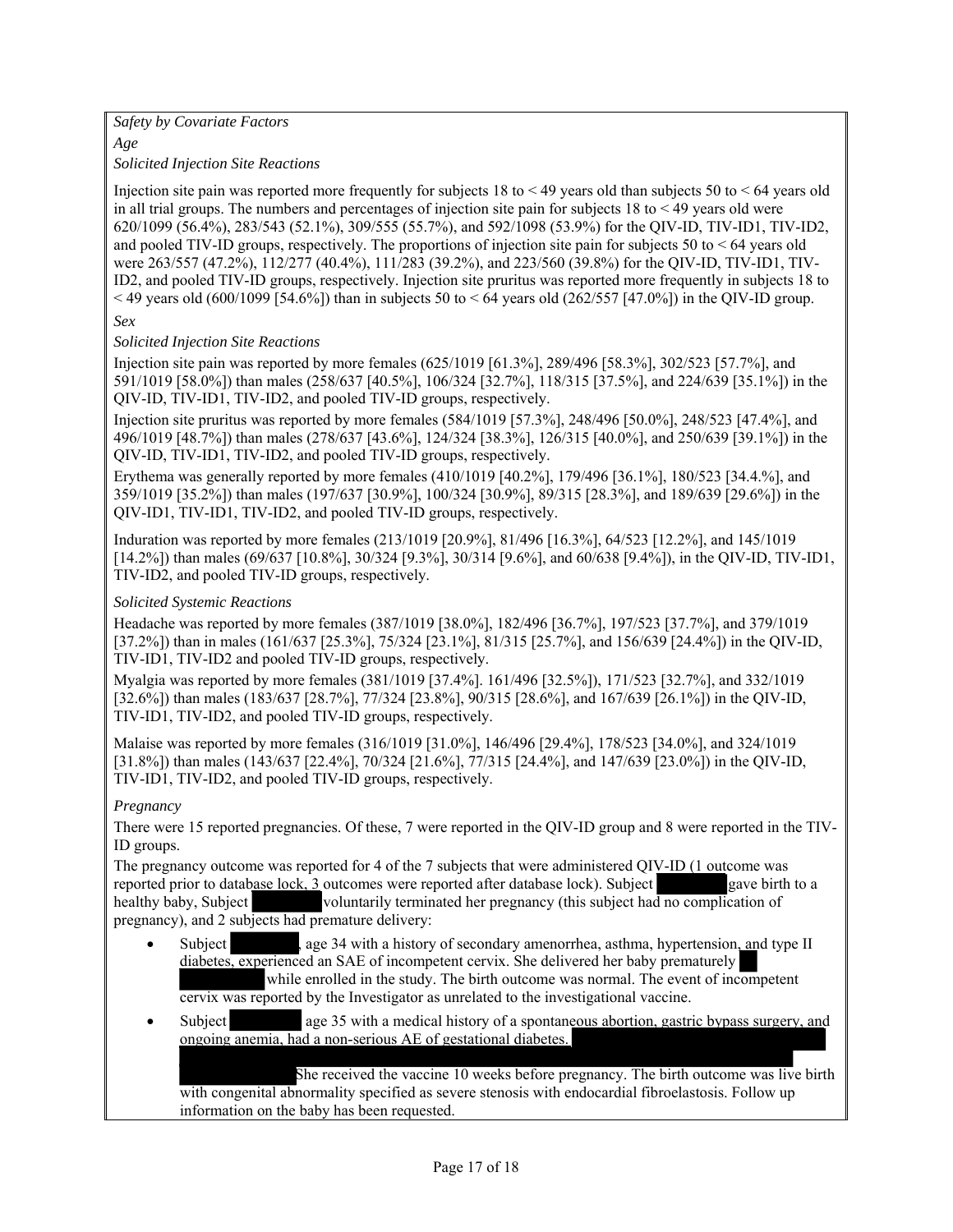### *Safety by Covariate Factors*

*Age* 

*Solicited Injection Site Reactions* 

Injection site pain was reported more frequently for subjects 18 to < 49 years old than subjects 50 to < 64 years old in all trial groups. The numbers and percentages of injection site pain for subjects  $18$  to  $\leq 49$  years old were 620/1099 (56.4%), 283/543 (52.1%), 309/555 (55.7%), and 592/1098 (53.9%) for the QIV-ID, TIV-ID1, TIV-ID2, and pooled TIV-ID groups, respectively. The proportions of injection site pain for subjects 50 to  $\leq 64$  years old were 263/557 (47.2%), 112/277 (40.4%), 111/283 (39.2%), and 223/560 (39.8%) for the QIV-ID, TIV-ID1, TIV-ID2, and pooled TIV-ID groups, respectively. Injection site pruritus was reported more frequently in subjects 18 to  $<$  49 years old (600/1099 [54.6%]) than in subjects 50 to  $<$  64 years old (262/557 [47.0%]) in the QIV-ID group.

*Sex* 

# *Solicited Injection Site Reactions*

Injection site pain was reported by more females (625/1019 [61.3%], 289/496 [58.3%], 302/523 [57.7%], and 591/1019 [58.0%]) than males (258/637 [40.5%], 106/324 [32.7%], 118/315 [37.5%], and 224/639 [35.1%]) in the QIV-ID, TIV-ID1, TIV-ID2, and pooled TIV-ID groups, respectively.

Injection site pruritus was reported by more females (584/1019 [57.3%], 248/496 [50.0%], 248/523 [47.4%], and 496/1019 [48.7%]) than males (278/637 [43.6%], 124/324 [38.3%], 126/315 [40.0%], and 250/639 [39.1%]) in the QIV-ID, TIV-ID1, TIV-ID2, and pooled TIV-ID groups, respectively.

Erythema was generally reported by more females (410/1019 [40.2%], 179/496 [36.1%], 180/523 [34.4.%], and 359/1019 [35.2%]) than males (197/637 [30.9%], 100/324 [30.9%], 89/315 [28.3%], and 189/639 [29.6%]) in the QIV-ID1, TIV-ID1, TIV-ID2, and pooled TIV-ID groups, respectively.

Induration was reported by more females (213/1019 [20.9%], 81/496 [16.3%], 64/523 [12.2%], and 145/1019 [14.2%]) than males (69/637 [10.8%], 30/324 [9.3%], 30/314 [9.6%], and 60/638 [9.4%]), in the QIV-ID, TIV-ID1, TIV-ID2, and pooled TIV-ID groups, respectively.

### *Solicited Systemic Reactions*

Headache was reported by more females (387/1019 [38.0%], 182/496 [36.7%], 197/523 [37.7%], and 379/1019 [37.2%]) than in males (161/637 [25.3%], 75/324 [23.1%], 81/315 [25.7%], and 156/639 [24.4%]) in the QIV-ID, TIV-ID1, TIV-ID2 and pooled TIV-ID groups, respectively.

Myalgia was reported by more females (381/1019 [37.4%]. 161/496 [32.5%]), 171/523 [32.7%], and 332/1019 [32.6%]) than males (183/637 [28.7%], 77/324 [23.8%], 90/315 [28.6%], and 167/639 [26.1%]) in the QIV-ID, TIV-ID1, TIV-ID2, and pooled TIV-ID groups, respectively.

Malaise was reported by more females (316/1019 [31.0%], 146/496 [29.4%], 178/523 [34.0%], and 324/1019 [31.8%]) than males (143/637 [22.4%], 70/324 [21.6%], 77/315 [24.4%], and 147/639 [23.0%]) in the QIV-ID, TIV-ID1, TIV-ID2, and pooled TIV-ID groups, respectively.

# *Pregnancy*

There were 15 reported pregnancies. Of these, 7 were reported in the QIV-ID group and 8 were reported in the TIV-ID groups.

The pregnancy outcome was reported for 4 of the 7 subjects that were administered QIV-ID (1 outcome was reported prior to database lock, 3 outcomes were reported after database lock). Subject gave birth to a healthy baby, Subject voluntarily terminated her pregnancy (this subject had no complication of pregnancy), and 2 subjects had premature delivery:

- Subject a ge 34 with a history of secondary amenorrhea, asthma, hypertension, and type II diabetes, experienced an SAE of incompetent cervix. She delivered her baby prematurely while enrolled in the study. The birth outcome was normal. The event of incompetent cervix was reported by the Investigator as unrelated to the investigational vaccine.
- Subject age 35 with a medical history of a spontaneous abortion, gastric bypass surgery, and ongoing anemia, had a non-serious AE of gestational diabetes.

She received the vaccine 10 weeks before pregnancy. The birth outcome was live birth with congenital abnormality specified as severe stenosis with endocardial fibroelastosis. Follow up information on the baby has been requested.